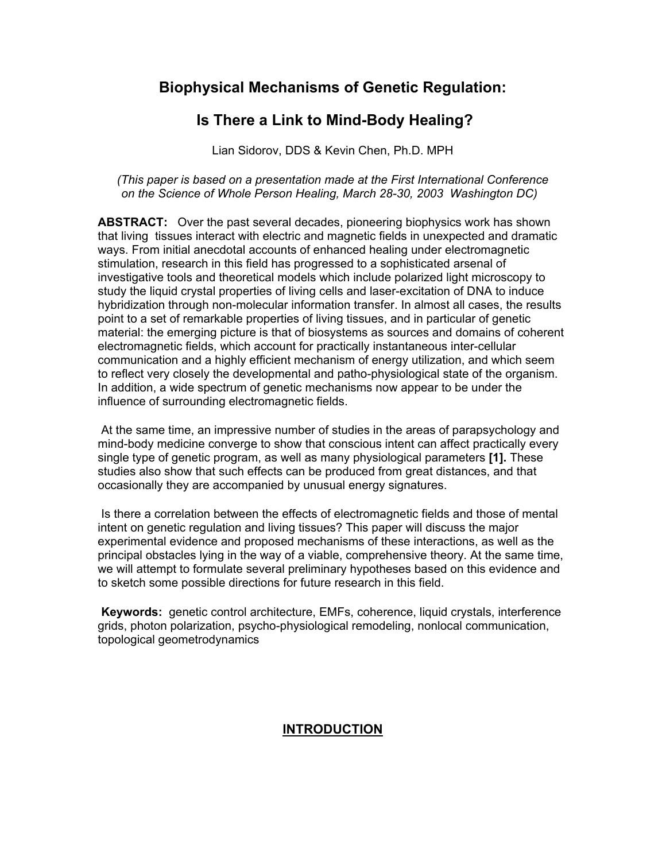# **Biophysical Mechanisms of Genetic Regulation:**

# **Is There a Link to Mind-Body Healing?**

Lian Sidorov, DDS & Kevin Chen, Ph.D. MPH

*(This paper is based on a presentation made at the First International Conference on the Science of Whole Person Healing, March 28-30, 2003 Washington DC)*

**ABSTRACT:** Over the past several decades, pioneering biophysics work has shown that living tissues interact with electric and magnetic fields in unexpected and dramatic ways. From initial anecdotal accounts of enhanced healing under electromagnetic stimulation, research in this field has progressed to a sophisticated arsenal of investigative tools and theoretical models which include polarized light microscopy to study the liquid crystal properties of living cells and laser-excitation of DNA to induce hybridization through non-molecular information transfer. In almost all cases, the results point to a set of remarkable properties of living tissues, and in particular of genetic material: the emerging picture is that of biosystems as sources and domains of coherent electromagnetic fields, which account for practically instantaneous inter-cellular communication and a highly efficient mechanism of energy utilization, and which seem to reflect very closely the developmental and patho-physiological state of the organism. In addition, a wide spectrum of genetic mechanisms now appear to be under the influence of surrounding electromagnetic fields.

 At the same time, an impressive number of studies in the areas of parapsychology and mind-body medicine converge to show that conscious intent can affect practically every single type of genetic program, as well as many physiological parameters **[1].** These studies also show that such effects can be produced from great distances, and that occasionally they are accompanied by unusual energy signatures.

 Is there a correlation between the effects of electromagnetic fields and those of mental intent on genetic regulation and living tissues? This paper will discuss the major experimental evidence and proposed mechanisms of these interactions, as well as the principal obstacles lying in the way of a viable, comprehensive theory. At the same time, we will attempt to formulate several preliminary hypotheses based on this evidence and to sketch some possible directions for future research in this field.

**Keywords:** genetic control architecture, EMFs, coherence, liquid crystals, interference grids, photon polarization, psycho-physiological remodeling, nonlocal communication, topological geometrodynamics

# **INTRODUCTION**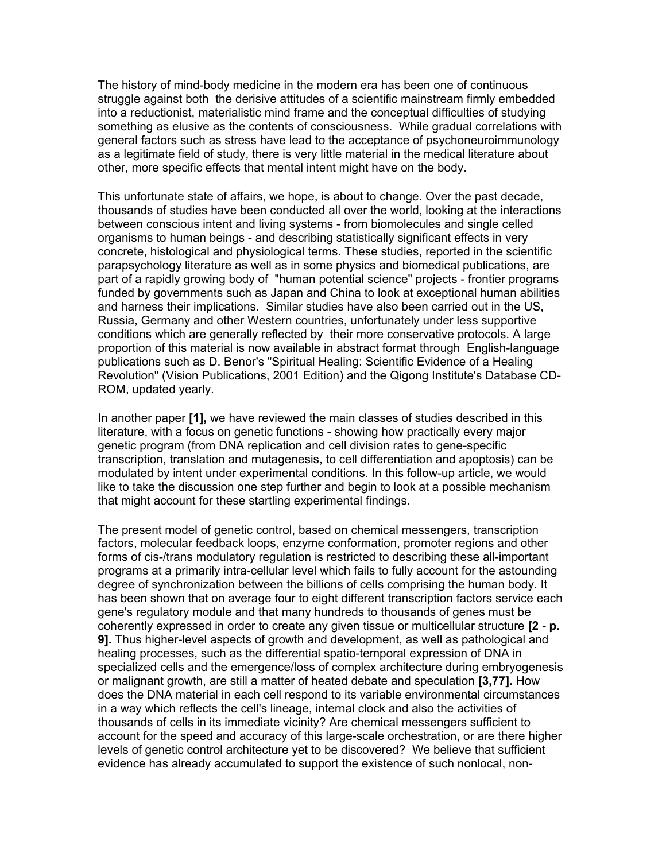The history of mind-body medicine in the modern era has been one of continuous struggle against both the derisive attitudes of a scientific mainstream firmly embedded into a reductionist, materialistic mind frame and the conceptual difficulties of studying something as elusive as the contents of consciousness. While gradual correlations with general factors such as stress have lead to the acceptance of psychoneuroimmunology as a legitimate field of study, there is very little material in the medical literature about other, more specific effects that mental intent might have on the body.

This unfortunate state of affairs, we hope, is about to change. Over the past decade, thousands of studies have been conducted all over the world, looking at the interactions between conscious intent and living systems - from biomolecules and single celled organisms to human beings - and describing statistically significant effects in very concrete, histological and physiological terms. These studies, reported in the scientific parapsychology literature as well as in some physics and biomedical publications, are part of a rapidly growing body of "human potential science" projects - frontier programs funded by governments such as Japan and China to look at exceptional human abilities and harness their implications. Similar studies have also been carried out in the US, Russia, Germany and other Western countries, unfortunately under less supportive conditions which are generally reflected by their more conservative protocols. A large proportion of this material is now available in abstract format through English-language publications such as D. Benor's "Spiritual Healing: Scientific Evidence of a Healing Revolution" (Vision Publications, 2001 Edition) and the Qigong Institute's Database CD-ROM, updated yearly.

In another paper **[1],** we have reviewed the main classes of studies described in this literature, with a focus on genetic functions - showing how practically every major genetic program (from DNA replication and cell division rates to gene-specific transcription, translation and mutagenesis, to cell differentiation and apoptosis) can be modulated by intent under experimental conditions. In this follow-up article, we would like to take the discussion one step further and begin to look at a possible mechanism that might account for these startling experimental findings.

The present model of genetic control, based on chemical messengers, transcription factors, molecular feedback loops, enzyme conformation, promoter regions and other forms of cis-/trans modulatory regulation is restricted to describing these all-important programs at a primarily intra-cellular level which fails to fully account for the astounding degree of synchronization between the billions of cells comprising the human body. It has been shown that on average four to eight different transcription factors service each gene's regulatory module and that many hundreds to thousands of genes must be coherently expressed in order to create any given tissue or multicellular structure **[2 - p. 9].** Thus higher-level aspects of growth and development, as well as pathological and healing processes, such as the differential spatio-temporal expression of DNA in specialized cells and the emergence/loss of complex architecture during embryogenesis or malignant growth, are still a matter of heated debate and speculation **[3,77].** How does the DNA material in each cell respond to its variable environmental circumstances in a way which reflects the cell's lineage, internal clock and also the activities of thousands of cells in its immediate vicinity? Are chemical messengers sufficient to account for the speed and accuracy of this large-scale orchestration, or are there higher levels of genetic control architecture yet to be discovered? We believe that sufficient evidence has already accumulated to support the existence of such nonlocal, non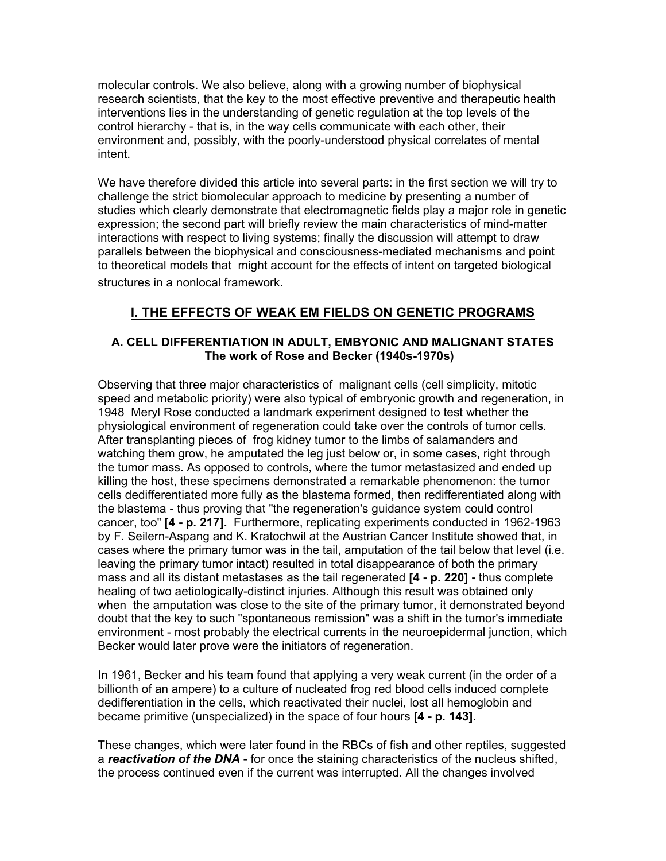molecular controls. We also believe, along with a growing number of biophysical research scientists, that the key to the most effective preventive and therapeutic health interventions lies in the understanding of genetic regulation at the top levels of the control hierarchy - that is, in the way cells communicate with each other, their environment and, possibly, with the poorly-understood physical correlates of mental intent.

We have therefore divided this article into several parts: in the first section we will try to challenge the strict biomolecular approach to medicine by presenting a number of studies which clearly demonstrate that electromagnetic fields play a major role in genetic expression; the second part will briefly review the main characteristics of mind-matter interactions with respect to living systems; finally the discussion will attempt to draw parallels between the biophysical and consciousness-mediated mechanisms and point to theoretical models that might account for the effects of intent on targeted biological structures in a nonlocal framework.

# **I. THE EFFECTS OF WEAK EM FIELDS ON GENETIC PROGRAMS**

# **A. CELL DIFFERENTIATION IN ADULT, EMBYONIC AND MALIGNANT STATES The work of Rose and Becker (1940s-1970s)**

Observing that three major characteristics of malignant cells (cell simplicity, mitotic speed and metabolic priority) were also typical of embryonic growth and regeneration, in 1948 Meryl Rose conducted a landmark experiment designed to test whether the physiological environment of regeneration could take over the controls of tumor cells. After transplanting pieces of frog kidney tumor to the limbs of salamanders and watching them grow, he amputated the leg just below or, in some cases, right through the tumor mass. As opposed to controls, where the tumor metastasized and ended up killing the host, these specimens demonstrated a remarkable phenomenon: the tumor cells dedifferentiated more fully as the blastema formed, then redifferentiated along with the blastema - thus proving that "the regeneration's guidance system could control cancer, too" **[4 - p. 217].** Furthermore, replicating experiments conducted in 1962-1963 by F. Seilern-Aspang and K. Kratochwil at the Austrian Cancer Institute showed that, in cases where the primary tumor was in the tail, amputation of the tail below that level (i.e. leaving the primary tumor intact) resulted in total disappearance of both the primary mass and all its distant metastases as the tail regenerated **[4 - p. 220] -** thus complete healing of two aetiologically-distinct injuries. Although this result was obtained only when the amputation was close to the site of the primary tumor, it demonstrated beyond doubt that the key to such "spontaneous remission" was a shift in the tumor's immediate environment - most probably the electrical currents in the neuroepidermal junction, which Becker would later prove were the initiators of regeneration.

In 1961, Becker and his team found that applying a very weak current (in the order of a billionth of an ampere) to a culture of nucleated frog red blood cells induced complete dedifferentiation in the cells, which reactivated their nuclei, lost all hemoglobin and became primitive (unspecialized) in the space of four hours **[4 - p. 143]**.

These changes, which were later found in the RBCs of fish and other reptiles, suggested a *reactivation of the DNA* - for once the staining characteristics of the nucleus shifted, the process continued even if the current was interrupted. All the changes involved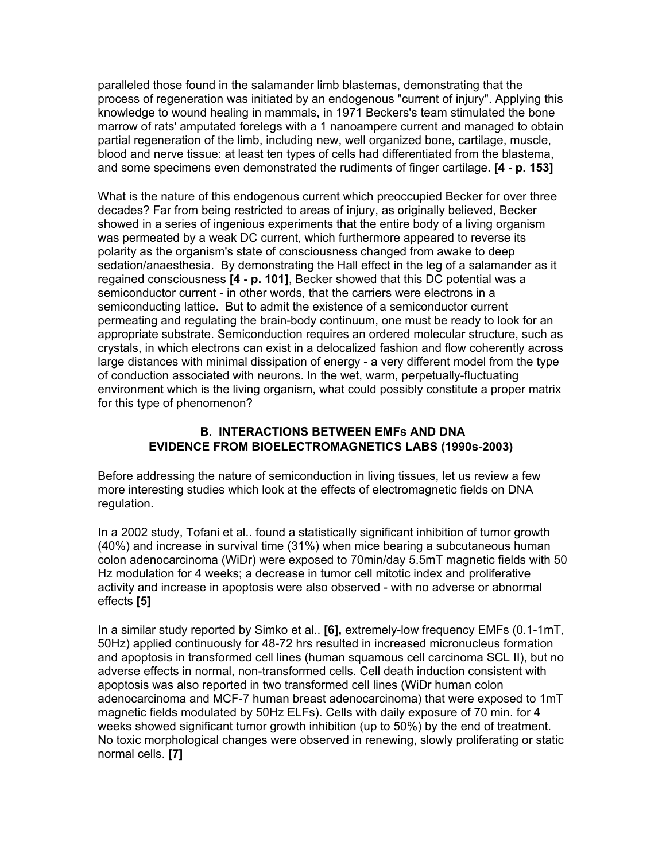paralleled those found in the salamander limb blastemas, demonstrating that the process of regeneration was initiated by an endogenous "current of injury". Applying this knowledge to wound healing in mammals, in 1971 Beckers's team stimulated the bone marrow of rats' amputated forelegs with a 1 nanoampere current and managed to obtain partial regeneration of the limb, including new, well organized bone, cartilage, muscle, blood and nerve tissue: at least ten types of cells had differentiated from the blastema, and some specimens even demonstrated the rudiments of finger cartilage. **[4 - p. 153]** 

What is the nature of this endogenous current which preoccupied Becker for over three decades? Far from being restricted to areas of injury, as originally believed, Becker showed in a series of ingenious experiments that the entire body of a living organism was permeated by a weak DC current, which furthermore appeared to reverse its polarity as the organism's state of consciousness changed from awake to deep sedation/anaesthesia. By demonstrating the Hall effect in the leg of a salamander as it regained consciousness **[4 - p. 101]**, Becker showed that this DC potential was a semiconductor current - in other words, that the carriers were electrons in a semiconducting lattice. But to admit the existence of a semiconductor current permeating and regulating the brain-body continuum, one must be ready to look for an appropriate substrate. Semiconduction requires an ordered molecular structure, such as crystals, in which electrons can exist in a delocalized fashion and flow coherently across large distances with minimal dissipation of energy - a very different model from the type of conduction associated with neurons. In the wet, warm, perpetually-fluctuating environment which is the living organism, what could possibly constitute a proper matrix for this type of phenomenon?

# **B. INTERACTIONS BETWEEN EMFs AND DNA EVIDENCE FROM BIOELECTROMAGNETICS LABS (1990s-2003)**

Before addressing the nature of semiconduction in living tissues, let us review a few more interesting studies which look at the effects of electromagnetic fields on DNA regulation.

In a 2002 study, Tofani et al.. found a statistically significant inhibition of tumor growth (40%) and increase in survival time (31%) when mice bearing a subcutaneous human colon adenocarcinoma (WiDr) were exposed to 70min/day 5.5mT magnetic fields with 50 Hz modulation for 4 weeks; a decrease in tumor cell mitotic index and proliferative activity and increase in apoptosis were also observed - with no adverse or abnormal effects **[5]**

In a similar study reported by Simko et al.. **[6],** extremely-low frequency EMFs (0.1-1mT, 50Hz) applied continuously for 48-72 hrs resulted in increased micronucleus formation and apoptosis in transformed cell lines (human squamous cell carcinoma SCL II), but no adverse effects in normal, non-transformed cells. Cell death induction consistent with apoptosis was also reported in two transformed cell lines (WiDr human colon adenocarcinoma and MCF-7 human breast adenocarcinoma) that were exposed to 1mT magnetic fields modulated by 50Hz ELFs). Cells with daily exposure of 70 min. for 4 weeks showed significant tumor growth inhibition (up to 50%) by the end of treatment. No toxic morphological changes were observed in renewing, slowly proliferating or static normal cells. **[7]**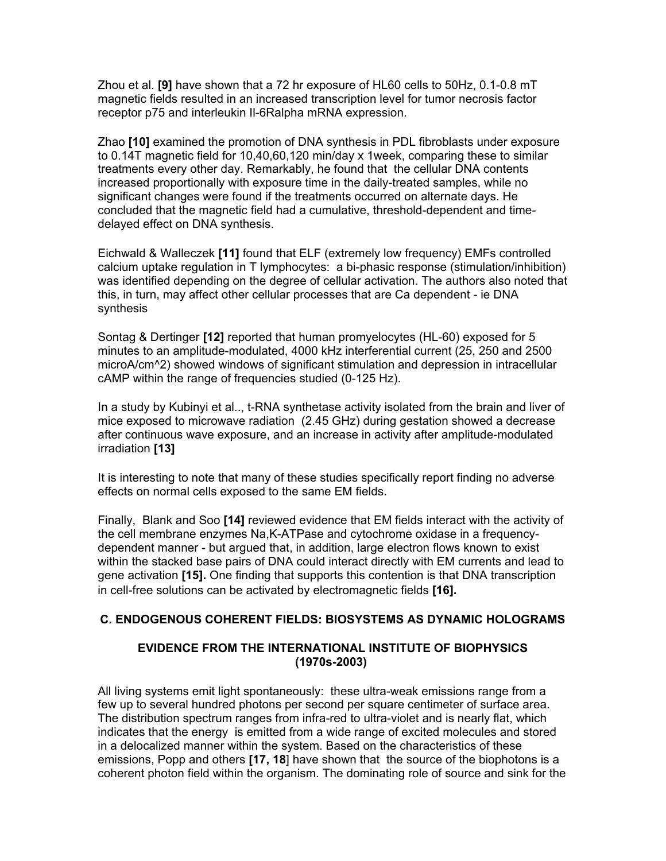Zhou et al. **[9]** have shown that a 72 hr exposure of HL60 cells to 50Hz, 0.1-0.8 mT magnetic fields resulted in an increased transcription level for tumor necrosis factor receptor p75 and interleukin Il-6Ralpha mRNA expression.

Zhao **[10]** examined the promotion of DNA synthesis in PDL fibroblasts under exposure to 0.14T magnetic field for 10,40,60,120 min/day x 1week, comparing these to similar treatments every other day. Remarkably, he found that the cellular DNA contents increased proportionally with exposure time in the daily-treated samples, while no significant changes were found if the treatments occurred on alternate days. He concluded that the magnetic field had a cumulative, threshold-dependent and timedelayed effect on DNA synthesis.

Eichwald & Walleczek **[11]** found that ELF (extremely low frequency) EMFs controlled calcium uptake regulation in T lymphocytes: a bi-phasic response (stimulation/inhibition) was identified depending on the degree of cellular activation. The authors also noted that this, in turn, may affect other cellular processes that are Ca dependent - ie DNA synthesis

Sontag & Dertinger **[12]** reported that human promyelocytes (HL-60) exposed for 5 minutes to an amplitude-modulated, 4000 kHz interferential current (25, 250 and 2500 microA/cm^2) showed windows of significant stimulation and depression in intracellular cAMP within the range of frequencies studied (0-125 Hz).

In a study by Kubinyi et al.., t-RNA synthetase activity isolated from the brain and liver of mice exposed to microwave radiation (2.45 GHz) during gestation showed a decrease after continuous wave exposure, and an increase in activity after amplitude-modulated irradiation **[13]** 

It is interesting to note that many of these studies specifically report finding no adverse effects on normal cells exposed to the same EM fields.

Finally, Blank and Soo **[14]** reviewed evidence that EM fields interact with the activity of the cell membrane enzymes Na,K-ATPase and cytochrome oxidase in a frequencydependent manner - but argued that, in addition, large electron flows known to exist within the stacked base pairs of DNA could interact directly with EM currents and lead to gene activation **[15].** One finding that supports this contention is that DNA transcription in cell-free solutions can be activated by electromagnetic fields **[16].**

### **C. ENDOGENOUS COHERENT FIELDS: BIOSYSTEMS AS DYNAMIC HOLOGRAMS**

## **EVIDENCE FROM THE INTERNATIONAL INSTITUTE OF BIOPHYSICS (1970s-2003)**

All living systems emit light spontaneously: these ultra-weak emissions range from a few up to several hundred photons per second per square centimeter of surface area. The distribution spectrum ranges from infra-red to ultra-violet and is nearly flat, which indicates that the energy is emitted from a wide range of excited molecules and stored in a delocalized manner within the system. Based on the characteristics of these emissions, Popp and others **[17, 18**] have shown that the source of the biophotons is a coherent photon field within the organism. The dominating role of source and sink for the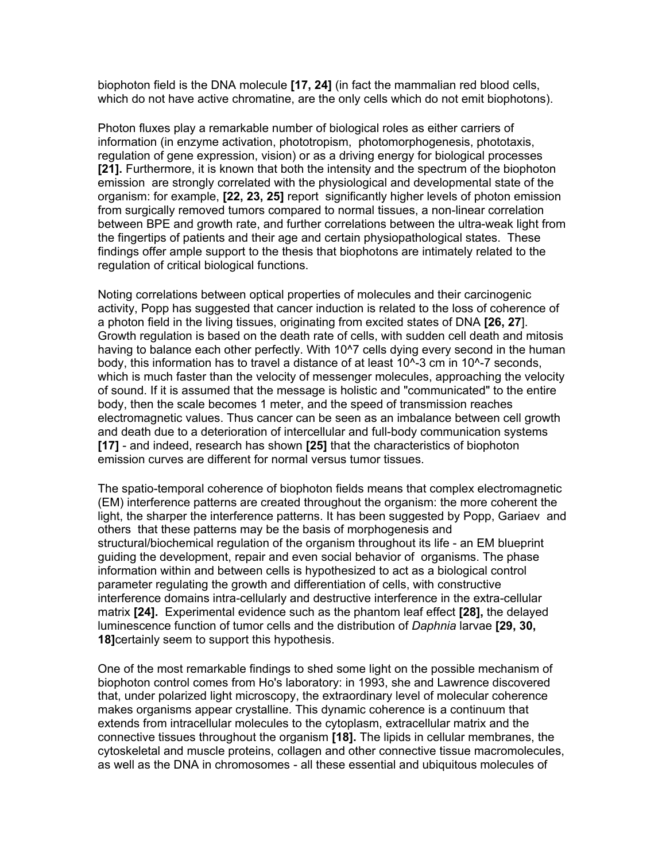biophoton field is the DNA molecule **[17, 24]** (in fact the mammalian red blood cells, which do not have active chromatine, are the only cells which do not emit biophotons).

Photon fluxes play a remarkable number of biological roles as either carriers of information (in enzyme activation, phototropism, photomorphogenesis, phototaxis, regulation of gene expression, vision) or as a driving energy for biological processes **[21].** Furthermore, it is known that both the intensity and the spectrum of the biophoton emission are strongly correlated with the physiological and developmental state of the organism: for example, **[22, 23, 25]** report significantly higher levels of photon emission from surgically removed tumors compared to normal tissues, a non-linear correlation between BPE and growth rate, and further correlations between the ultra-weak light from the fingertips of patients and their age and certain physiopathological states. These findings offer ample support to the thesis that biophotons are intimately related to the regulation of critical biological functions.

Noting correlations between optical properties of molecules and their carcinogenic activity, Popp has suggested that cancer induction is related to the loss of coherence of a photon field in the living tissues, originating from excited states of DNA **[26, 27**]. Growth regulation is based on the death rate of cells, with sudden cell death and mitosis having to balance each other perfectly. With 10<sup>x</sup>7 cells dying every second in the human body, this information has to travel a distance of at least 10^-3 cm in 10^-7 seconds, which is much faster than the velocity of messenger molecules, approaching the velocity of sound. If it is assumed that the message is holistic and "communicated" to the entire body, then the scale becomes 1 meter, and the speed of transmission reaches electromagnetic values. Thus cancer can be seen as an imbalance between cell growth and death due to a deterioration of intercellular and full-body communication systems **[17]** - and indeed, research has shown **[25]** that the characteristics of biophoton emission curves are different for normal versus tumor tissues.

The spatio-temporal coherence of biophoton fields means that complex electromagnetic (EM) interference patterns are created throughout the organism: the more coherent the light, the sharper the interference patterns. It has been suggested by Popp, Gariaev and others that these patterns may be the basis of morphogenesis and structural/biochemical regulation of the organism throughout its life - an EM blueprint guiding the development, repair and even social behavior of organisms. The phase information within and between cells is hypothesized to act as a biological control parameter regulating the growth and differentiation of cells, with constructive interference domains intra-cellularly and destructive interference in the extra-cellular matrix **[24].** Experimental evidence such as the phantom leaf effect **[28],** the delayed luminescence function of tumor cells and the distribution of *Daphnia* larvae **[29, 30, 18]**certainly seem to support this hypothesis.

One of the most remarkable findings to shed some light on the possible mechanism of biophoton control comes from Ho's laboratory: in 1993, she and Lawrence discovered that, under polarized light microscopy, the extraordinary level of molecular coherence makes organisms appear crystalline. This dynamic coherence is a continuum that extends from intracellular molecules to the cytoplasm, extracellular matrix and the connective tissues throughout the organism **[18].** The lipids in cellular membranes, the cytoskeletal and muscle proteins, collagen and other connective tissue macromolecules, as well as the DNA in chromosomes - all these essential and ubiquitous molecules of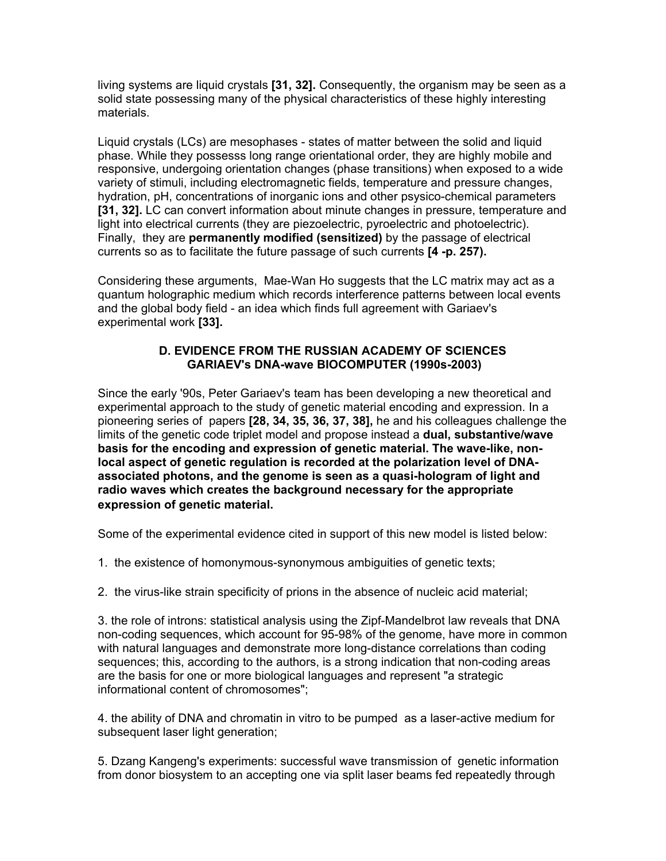living systems are liquid crystals **[31, 32].** Consequently, the organism may be seen as a solid state possessing many of the physical characteristics of these highly interesting materials.

Liquid crystals (LCs) are mesophases - states of matter between the solid and liquid phase. While they possesss long range orientational order, they are highly mobile and responsive, undergoing orientation changes (phase transitions) when exposed to a wide variety of stimuli, including electromagnetic fields, temperature and pressure changes, hydration, pH, concentrations of inorganic ions and other psysico-chemical parameters **[31, 32].** LC can convert information about minute changes in pressure, temperature and light into electrical currents (they are piezoelectric, pyroelectric and photoelectric). Finally, they are **permanently modified (sensitized)** by the passage of electrical currents so as to facilitate the future passage of such currents **[4 -p. 257).** 

Considering these arguments, Mae-Wan Ho suggests that the LC matrix may act as a quantum holographic medium which records interference patterns between local events and the global body field - an idea which finds full agreement with Gariaev's experimental work **[33].**

### **D. EVIDENCE FROM THE RUSSIAN ACADEMY OF SCIENCES GARIAEV's DNA-wave BIOCOMPUTER (1990s-2003)**

Since the early '90s, Peter Gariaev's team has been developing a new theoretical and experimental approach to the study of genetic material encoding and expression. In a pioneering series of papers **[28, 34, 35, 36, 37, 38],** he and his colleagues challenge the limits of the genetic code triplet model and propose instead a **dual, substantive/wave basis for the encoding and expression of genetic material. The wave-like, nonlocal aspect of genetic regulation is recorded at the polarization level of DNAassociated photons, and the genome is seen as a quasi-hologram of light and radio waves which creates the background necessary for the appropriate expression of genetic material.**

Some of the experimental evidence cited in support of this new model is listed below:

1. the existence of homonymous-synonymous ambiguities of genetic texts;

2. the virus-like strain specificity of prions in the absence of nucleic acid material;

3. the role of introns: statistical analysis using the Zipf-Mandelbrot law reveals that DNA non-coding sequences, which account for 95-98% of the genome, have more in common with natural languages and demonstrate more long-distance correlations than coding sequences; this, according to the authors, is a strong indication that non-coding areas are the basis for one or more biological languages and represent "a strategic informational content of chromosomes";

4. the ability of DNA and chromatin in vitro to be pumped as a laser-active medium for subsequent laser light generation;

5. Dzang Kangeng's experiments: successful wave transmission of genetic information from donor biosystem to an accepting one via split laser beams fed repeatedly through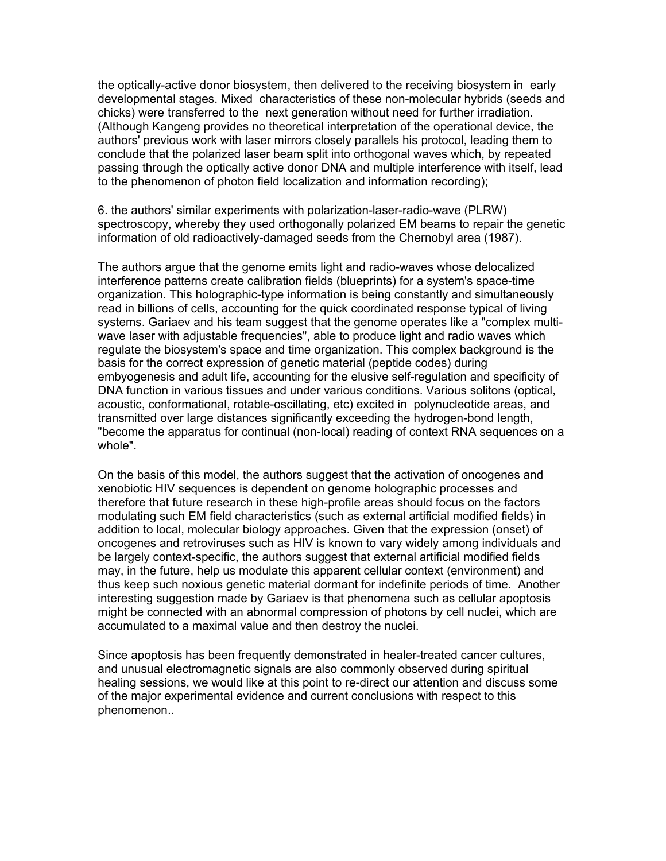the optically-active donor biosystem, then delivered to the receiving biosystem in early developmental stages. Mixed characteristics of these non-molecular hybrids (seeds and chicks) were transferred to the next generation without need for further irradiation. (Although Kangeng provides no theoretical interpretation of the operational device, the authors' previous work with laser mirrors closely parallels his protocol, leading them to conclude that the polarized laser beam split into orthogonal waves which, by repeated passing through the optically active donor DNA and multiple interference with itself, lead to the phenomenon of photon field localization and information recording);

6. the authors' similar experiments with polarization-laser-radio-wave (PLRW) spectroscopy, whereby they used orthogonally polarized EM beams to repair the genetic information of old radioactively-damaged seeds from the Chernobyl area (1987).

The authors argue that the genome emits light and radio-waves whose delocalized interference patterns create calibration fields (blueprints) for a system's space-time organization. This holographic-type information is being constantly and simultaneously read in billions of cells, accounting for the quick coordinated response typical of living systems. Gariaev and his team suggest that the genome operates like a "complex multiwave laser with adjustable frequencies", able to produce light and radio waves which regulate the biosystem's space and time organization. This complex background is the basis for the correct expression of genetic material (peptide codes) during embyogenesis and adult life, accounting for the elusive self-regulation and specificity of DNA function in various tissues and under various conditions. Various solitons (optical, acoustic, conformational, rotable-oscillating, etc) excited in polynucleotide areas, and transmitted over large distances significantly exceeding the hydrogen-bond length, "become the apparatus for continual (non-local) reading of context RNA sequences on a whole".

On the basis of this model, the authors suggest that the activation of oncogenes and xenobiotic HIV sequences is dependent on genome holographic processes and therefore that future research in these high-profile areas should focus on the factors modulating such EM field characteristics (such as external artificial modified fields) in addition to local, molecular biology approaches. Given that the expression (onset) of oncogenes and retroviruses such as HIV is known to vary widely among individuals and be largely context-specific, the authors suggest that external artificial modified fields may, in the future, help us modulate this apparent cellular context (environment) and thus keep such noxious genetic material dormant for indefinite periods of time. Another interesting suggestion made by Gariaev is that phenomena such as cellular apoptosis might be connected with an abnormal compression of photons by cell nuclei, which are accumulated to a maximal value and then destroy the nuclei.

Since apoptosis has been frequently demonstrated in healer-treated cancer cultures, and unusual electromagnetic signals are also commonly observed during spiritual healing sessions, we would like at this point to re-direct our attention and discuss some of the major experimental evidence and current conclusions with respect to this phenomenon..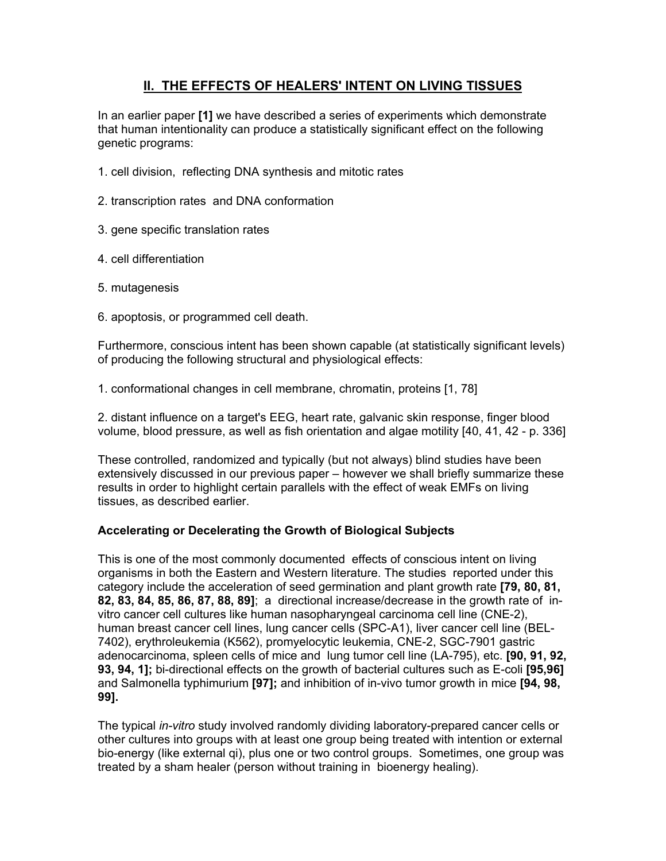# **II. THE EFFECTS OF HEALERS' INTENT ON LIVING TISSUES**

In an earlier paper **[1]** we have described a series of experiments which demonstrate that human intentionality can produce a statistically significant effect on the following genetic programs:

- 1. cell division, reflecting DNA synthesis and mitotic rates
- 2. transcription rates and DNA conformation
- 3. gene specific translation rates
- 4. cell differentiation
- 5. mutagenesis
- 6. apoptosis, or programmed cell death.

Furthermore, conscious intent has been shown capable (at statistically significant levels) of producing the following structural and physiological effects:

1. conformational changes in cell membrane, chromatin, proteins [1, 78]

2. distant influence on a target's EEG, heart rate, galvanic skin response, finger blood volume, blood pressure, as well as fish orientation and algae motility [40, 41, 42 - p. 336]

These controlled, randomized and typically (but not always) blind studies have been extensively discussed in our previous paper – however we shall briefly summarize these results in order to highlight certain parallels with the effect of weak EMFs on living tissues, as described earlier.

# **Accelerating or Decelerating the Growth of Biological Subjects**

This is one of the most commonly documented effects of conscious intent on living organisms in both the Eastern and Western literature. The studies reported under this category include the acceleration of seed germination and plant growth rate **[79, 80, 81, 82, 83, 84, 85, 86, 87, 88, 89]**; a directional increase/decrease in the growth rate of invitro cancer cell cultures like human nasopharyngeal carcinoma cell line (CNE-2), human breast cancer cell lines, lung cancer cells (SPC-A1), liver cancer cell line (BEL-7402), erythroleukemia (K562), promyelocytic leukemia, CNE-2, SGC-7901 gastric adenocarcinoma, spleen cells of mice and lung tumor cell line (LA-795), etc. **[90, 91, 92, 93, 94, 1];** bi-directional effects on the growth of bacterial cultures such as E-coli **[95,96]** and Salmonella typhimurium **[97];** and inhibition of in-vivo tumor growth in mice **[94, 98, 99].**

The typical *in-vitro* study involved randomly dividing laboratory-prepared cancer cells or other cultures into groups with at least one group being treated with intention or external bio-energy (like external qi), plus one or two control groups. Sometimes, one group was treated by a sham healer (person without training in bioenergy healing).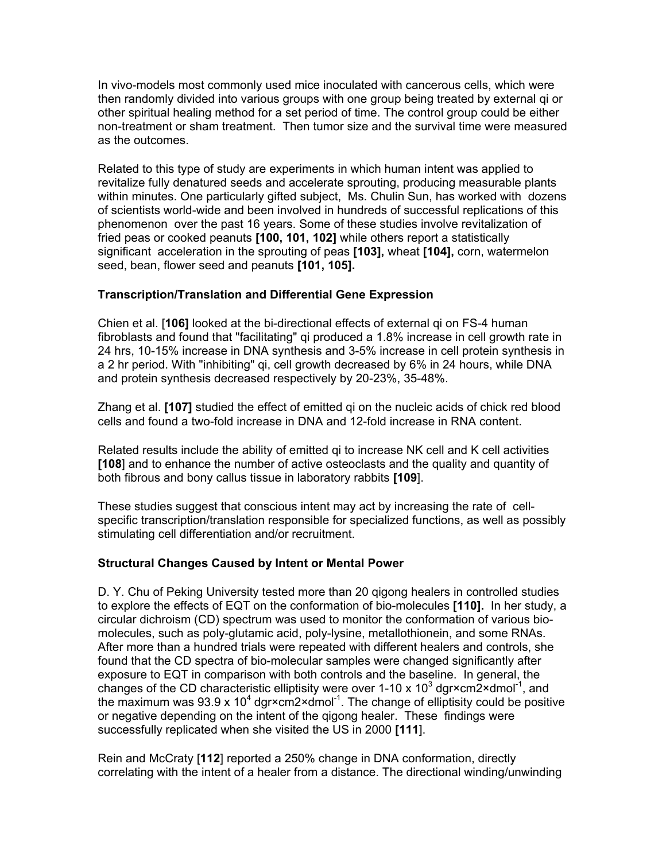In vivo-models most commonly used mice inoculated with cancerous cells, which were then randomly divided into various groups with one group being treated by external qi or other spiritual healing method for a set period of time. The control group could be either non-treatment or sham treatment. Then tumor size and the survival time were measured as the outcomes.

Related to this type of study are experiments in which human intent was applied to revitalize fully denatured seeds and accelerate sprouting, producing measurable plants within minutes. One particularly gifted subject, Ms. Chulin Sun, has worked with dozens of scientists world-wide and been involved in hundreds of successful replications of this phenomenon over the past 16 years. Some of these studies involve revitalization of fried peas or cooked peanuts **[100, 101, 102]** while others report a statistically significant acceleration in the sprouting of peas **[103],** wheat **[104],** corn, watermelon seed, bean, flower seed and peanuts **[101, 105].**

### **Transcription/Translation and Differential Gene Expression**

Chien et al. [**106]** looked at the bi-directional effects of external qi on FS-4 human fibroblasts and found that "facilitating" qi produced a 1.8% increase in cell growth rate in 24 hrs, 10-15% increase in DNA synthesis and 3-5% increase in cell protein synthesis in a 2 hr period. With "inhibiting" qi, cell growth decreased by 6% in 24 hours, while DNA and protein synthesis decreased respectively by 20-23%, 35-48%.

Zhang et al. **[107]** studied the effect of emitted qi on the nucleic acids of chick red blood cells and found a two-fold increase in DNA and 12-fold increase in RNA content.

Related results include the ability of emitted qi to increase NK cell and K cell activities **[108**] and to enhance the number of active osteoclasts and the quality and quantity of both fibrous and bony callus tissue in laboratory rabbits **[109**].

These studies suggest that conscious intent may act by increasing the rate of cellspecific transcription/translation responsible for specialized functions, as well as possibly stimulating cell differentiation and/or recruitment.

### **Structural Changes Caused by Intent or Mental Power**

D. Y. Chu of Peking University tested more than 20 qigong healers in controlled studies to explore the effects of EQT on the conformation of bio-molecules **[110].** In her study, a circular dichroism (CD) spectrum was used to monitor the conformation of various biomolecules, such as poly-glutamic acid, poly-lysine, metallothionein, and some RNAs. After more than a hundred trials were repeated with different healers and controls, she found that the CD spectra of bio-molecular samples were changed significantly after exposure to EQT in comparison with both controls and the baseline. In general, the changes of the CD characteristic elliptisity were over 1-10 x 10<sup>3</sup> dgr×cm2×dmol<sup>-1</sup>, and the maximum was 93.9 x 10<sup>4</sup> dgr×cm2×dmol<sup>-1</sup>. The change of elliptisity could be positive or negative depending on the intent of the qigong healer. These findings were successfully replicated when she visited the US in 2000 **[111**].

Rein and McCraty [**112**] reported a 250% change in DNA conformation, directly correlating with the intent of a healer from a distance. The directional winding/unwinding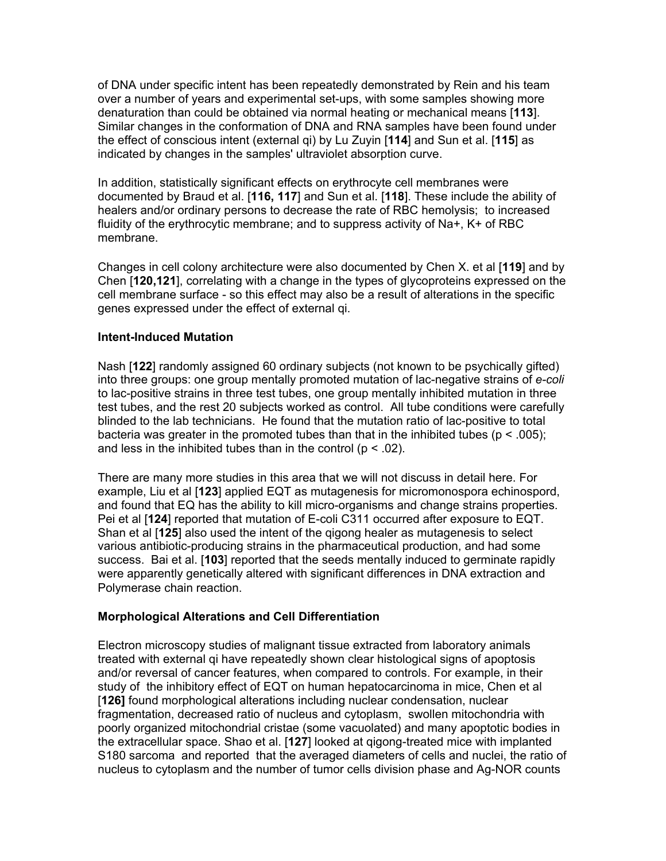of DNA under specific intent has been repeatedly demonstrated by Rein and his team over a number of years and experimental set-ups, with some samples showing more denaturation than could be obtained via normal heating or mechanical means [**113**]. Similar changes in the conformation of DNA and RNA samples have been found under the effect of conscious intent (external qi) by Lu Zuyin [**114**] and Sun et al. [**115**] as indicated by changes in the samples' ultraviolet absorption curve.

In addition, statistically significant effects on erythrocyte cell membranes were documented by Braud et al. [**116, 117**] and Sun et al. [**118**]. These include the ability of healers and/or ordinary persons to decrease the rate of RBC hemolysis; to increased fluidity of the erythrocytic membrane; and to suppress activity of Na+, K+ of RBC membrane.

Changes in cell colony architecture were also documented by Chen X. et al [**119**] and by Chen [**120,121**], correlating with a change in the types of glycoproteins expressed on the cell membrane surface - so this effect may also be a result of alterations in the specific genes expressed under the effect of external qi.

### **Intent-Induced Mutation**

Nash [**122**] randomly assigned 60 ordinary subjects (not known to be psychically gifted) into three groups: one group mentally promoted mutation of lac-negative strains of *e-coli* to lac-positive strains in three test tubes, one group mentally inhibited mutation in three test tubes, and the rest 20 subjects worked as control. All tube conditions were carefully blinded to the lab technicians. He found that the mutation ratio of lac-positive to total bacteria was greater in the promoted tubes than that in the inhibited tubes ( $p < .005$ ); and less in the inhibited tubes than in the control ( $p < .02$ ).

There are many more studies in this area that we will not discuss in detail here. For example, Liu et al [**123**] applied EQT as mutagenesis for micromonospora echinospord, and found that EQ has the ability to kill micro-organisms and change strains properties. Pei et al [**124**] reported that mutation of E-coli C311 occurred after exposure to EQT. Shan et al [**125**] also used the intent of the qigong healer as mutagenesis to select various antibiotic-producing strains in the pharmaceutical production, and had some success. Bai et al. [**103**] reported that the seeds mentally induced to germinate rapidly were apparently genetically altered with significant differences in DNA extraction and Polymerase chain reaction.

# **Morphological Alterations and Cell Differentiation**

Electron microscopy studies of malignant tissue extracted from laboratory animals treated with external qi have repeatedly shown clear histological signs of apoptosis and/or reversal of cancer features, when compared to controls. For example, in their study of the inhibitory effect of EQT on human hepatocarcinoma in mice, Chen et al [**126]** found morphological alterations including nuclear condensation, nuclear fragmentation, decreased ratio of nucleus and cytoplasm, swollen mitochondria with poorly organized mitochondrial cristae (some vacuolated) and many apoptotic bodies in the extracellular space. Shao et al. [**127**] looked at qigong-treated mice with implanted S180 sarcoma and reported that the averaged diameters of cells and nuclei, the ratio of nucleus to cytoplasm and the number of tumor cells division phase and Ag-NOR counts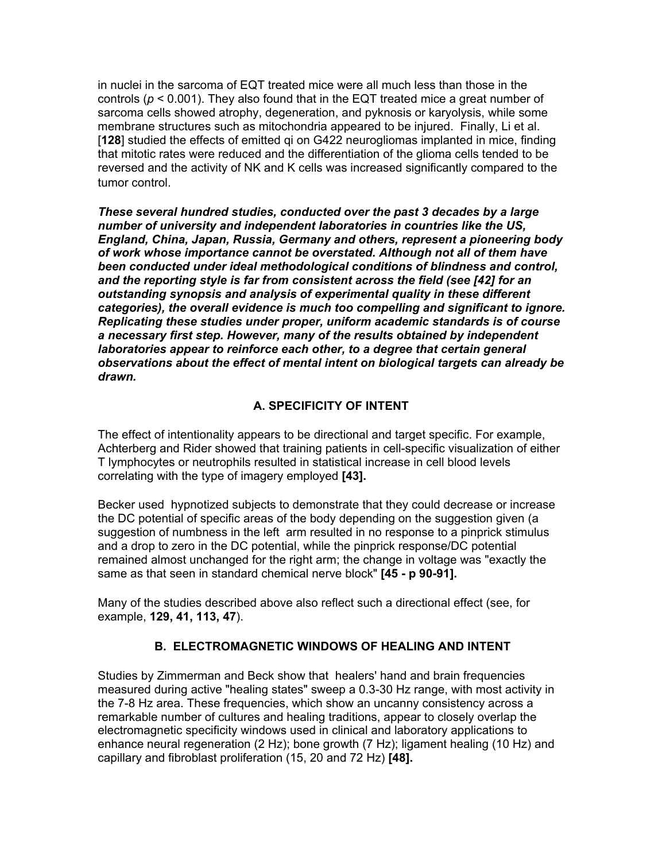in nuclei in the sarcoma of EQT treated mice were all much less than those in the controls (*p* < 0.001). They also found that in the EQT treated mice a great number of sarcoma cells showed atrophy, degeneration, and pyknosis or karyolysis, while some membrane structures such as mitochondria appeared to be injured. Finally, Li et al. [**128**] studied the effects of emitted qi on G422 neurogliomas implanted in mice, finding that mitotic rates were reduced and the differentiation of the glioma cells tended to be reversed and the activity of NK and K cells was increased significantly compared to the tumor control.

*These several hundred studies, conducted over the past 3 decades by a large number of university and independent laboratories in countries like the US, England, China, Japan, Russia, Germany and others, represent a pioneering body of work whose importance cannot be overstated. Although not all of them have been conducted under ideal methodological conditions of blindness and control, and the reporting style is far from consistent across the field (see [42] for an outstanding synopsis and analysis of experimental quality in these different categories), the overall evidence is much too compelling and significant to ignore. Replicating these studies under proper, uniform academic standards is of course a necessary first step. However, many of the results obtained by independent laboratories appear to reinforce each other, to a degree that certain general observations about the effect of mental intent on biological targets can already be drawn.*

# **A. SPECIFICITY OF INTENT**

The effect of intentionality appears to be directional and target specific. For example, Achterberg and Rider showed that training patients in cell-specific visualization of either T lymphocytes or neutrophils resulted in statistical increase in cell blood levels correlating with the type of imagery employed **[43].** 

Becker used hypnotized subjects to demonstrate that they could decrease or increase the DC potential of specific areas of the body depending on the suggestion given (a suggestion of numbness in the left arm resulted in no response to a pinprick stimulus and a drop to zero in the DC potential, while the pinprick response/DC potential remained almost unchanged for the right arm; the change in voltage was "exactly the same as that seen in standard chemical nerve block" **[45 - p 90-91].**

Many of the studies described above also reflect such a directional effect (see, for example, **129, 41, 113, 47**).

# **B. ELECTROMAGNETIC WINDOWS OF HEALING AND INTENT**

Studies by Zimmerman and Beck show that healers' hand and brain frequencies measured during active "healing states" sweep a 0.3-30 Hz range, with most activity in the 7-8 Hz area. These frequencies, which show an uncanny consistency across a remarkable number of cultures and healing traditions, appear to closely overlap the electromagnetic specificity windows used in clinical and laboratory applications to enhance neural regeneration (2 Hz); bone growth (7 Hz); ligament healing (10 Hz) and capillary and fibroblast proliferation (15, 20 and 72 Hz) **[48].**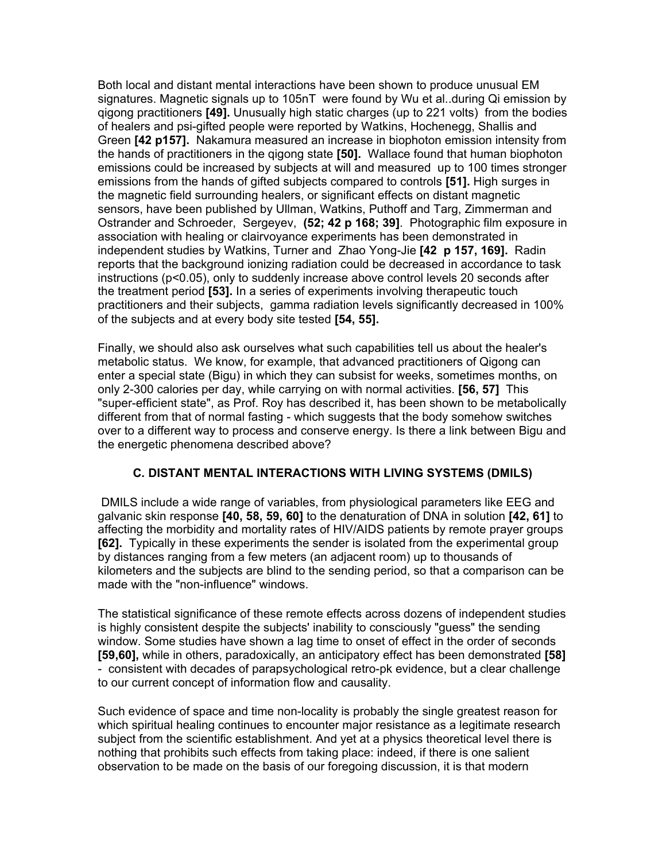Both local and distant mental interactions have been shown to produce unusual EM signatures. Magnetic signals up to 105nT were found by Wu et al..during Qi emission by qigong practitioners **[49].** Unusually high static charges (up to 221 volts) from the bodies of healers and psi-gifted people were reported by Watkins, Hochenegg, Shallis and Green **[42 p157].** Nakamura measured an increase in biophoton emission intensity from the hands of practitioners in the qigong state **[50].** Wallace found that human biophoton emissions could be increased by subjects at will and measured up to 100 times stronger emissions from the hands of gifted subjects compared to controls **[51].** High surges in the magnetic field surrounding healers, or significant effects on distant magnetic sensors, have been published by Ullman, Watkins, Puthoff and Targ, Zimmerman and Ostrander and Schroeder, Sergeyev, **(52; 42 p 168; 39]**. Photographic film exposure in association with healing or clairvoyance experiments has been demonstrated in independent studies by Watkins, Turner and Zhao Yong-Jie **[42 p 157, 169].** Radin reports that the background ionizing radiation could be decreased in accordance to task instructions (p<0.05), only to suddenly increase above control levels 20 seconds after the treatment period **[53].** In a series of experiments involving therapeutic touch practitioners and their subjects, gamma radiation levels significantly decreased in 100% of the subjects and at every body site tested **[54, 55].** 

Finally, we should also ask ourselves what such capabilities tell us about the healer's metabolic status. We know, for example, that advanced practitioners of Qigong can enter a special state (Bigu) in which they can subsist for weeks, sometimes months, on only 2-300 calories per day, while carrying on with normal activities. **[56, 57]** This "super-efficient state", as Prof. Roy has described it, has been shown to be metabolically different from that of normal fasting - which suggests that the body somehow switches over to a different way to process and conserve energy. Is there a link between Bigu and the energetic phenomena described above?

# **C***.* **DISTANT MENTAL INTERACTIONS WITH LIVING SYSTEMS (DMILS)**

DMILS include a wide range of variables, from physiological parameters like EEG and galvanic skin response **[40, 58, 59, 60]** to the denaturation of DNA in solution **[42, 61]** to affecting the morbidity and mortality rates of HIV/AIDS patients by remote prayer groups **[62].** Typically in these experiments the sender is isolated from the experimental group by distances ranging from a few meters (an adjacent room) up to thousands of kilometers and the subjects are blind to the sending period, so that a comparison can be made with the "non-influence" windows.

The statistical significance of these remote effects across dozens of independent studies is highly consistent despite the subjects' inability to consciously "guess" the sending window. Some studies have shown a lag time to onset of effect in the order of seconds **[59,60],** while in others, paradoxically, an anticipatory effect has been demonstrated **[58]** - consistent with decades of parapsychological retro-pk evidence, but a clear challenge to our current concept of information flow and causality.

Such evidence of space and time non-locality is probably the single greatest reason for which spiritual healing continues to encounter major resistance as a legitimate research subject from the scientific establishment. And yet at a physics theoretical level there is nothing that prohibits such effects from taking place: indeed, if there is one salient observation to be made on the basis of our foregoing discussion, it is that modern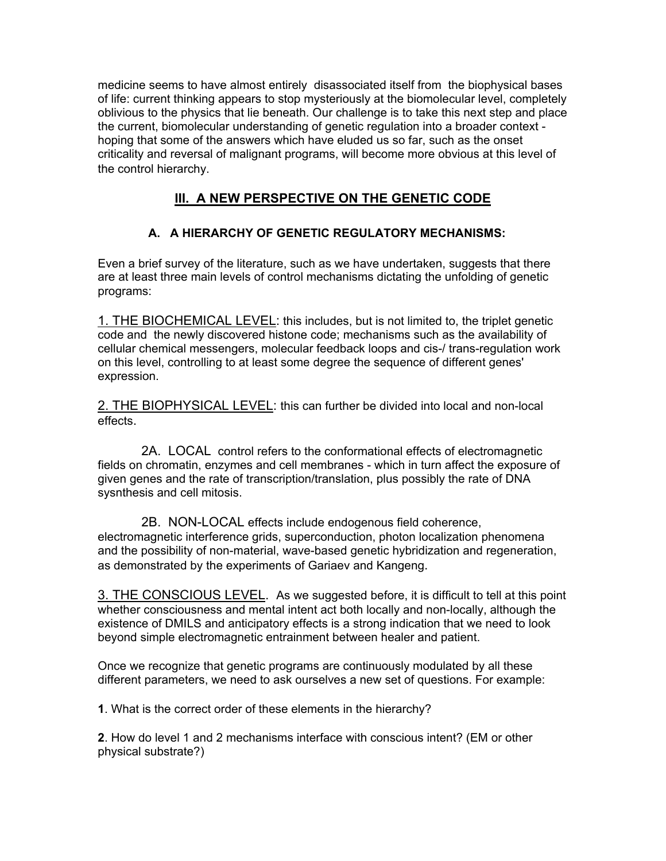medicine seems to have almost entirely disassociated itself from the biophysical bases of life: current thinking appears to stop mysteriously at the biomolecular level, completely oblivious to the physics that lie beneath. Our challenge is to take this next step and place the current, biomolecular understanding of genetic regulation into a broader context hoping that some of the answers which have eluded us so far, such as the onset criticality and reversal of malignant programs, will become more obvious at this level of the control hierarchy.

# **III. A NEW PERSPECTIVE ON THE GENETIC CODE**

# **A. A HIERARCHY OF GENETIC REGULATORY MECHANISMS:**

Even a brief survey of the literature, such as we have undertaken, suggests that there are at least three main levels of control mechanisms dictating the unfolding of genetic programs:

1. THE BIOCHEMICAL LEVEL: this includes, but is not limited to, the triplet genetic code and the newly discovered histone code; mechanisms such as the availability of cellular chemical messengers, molecular feedback loops and cis-/ trans-regulation work on this level, controlling to at least some degree the sequence of different genes' expression.

2. THE BIOPHYSICAL LEVEL: this can further be divided into local and non-local effects.

 2A. LOCAL control refers to the conformational effects of electromagnetic fields on chromatin, enzymes and cell membranes - which in turn affect the exposure of given genes and the rate of transcription/translation, plus possibly the rate of DNA sysnthesis and cell mitosis.

 2B. NON-LOCAL effects include endogenous field coherence, electromagnetic interference grids, superconduction, photon localization phenomena and the possibility of non-material, wave-based genetic hybridization and regeneration, as demonstrated by the experiments of Gariaev and Kangeng.

3. THE CONSCIOUS LEVEL. As we suggested before, it is difficult to tell at this point whether consciousness and mental intent act both locally and non-locally, although the existence of DMILS and anticipatory effects is a strong indication that we need to look beyond simple electromagnetic entrainment between healer and patient.

Once we recognize that genetic programs are continuously modulated by all these different parameters, we need to ask ourselves a new set of questions. For example:

**1**. What is the correct order of these elements in the hierarchy?

**2**. How do level 1 and 2 mechanisms interface with conscious intent? (EM or other physical substrate?)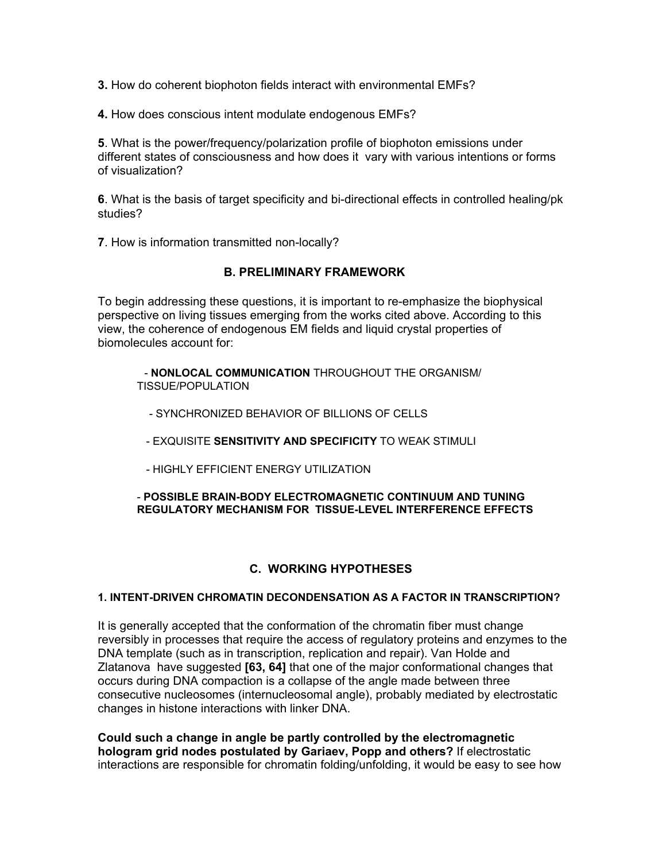**3.** How do coherent biophoton fields interact with environmental EMFs?

**4.** How does conscious intent modulate endogenous EMFs?

**5**. What is the power/frequency/polarization profile of biophoton emissions under different states of consciousness and how does it vary with various intentions or forms of visualization?

**6**. What is the basis of target specificity and bi-directional effects in controlled healing/pk studies?

**7**. How is information transmitted non-locally?

### **B. PRELIMINARY FRAMEWORK**

To begin addressing these questions, it is important to re-emphasize the biophysical perspective on living tissues emerging from the works cited above. According to this view, the coherence of endogenous EM fields and liquid crystal properties of biomolecules account for:

 - **NONLOCAL COMMUNICATION** THROUGHOUT THE ORGANISM/ TISSUE/POPULATION

- SYNCHRONIZED BEHAVIOR OF BILLIONS OF CELLS

- EXQUISITE **SENSITIVITY AND SPECIFICITY** TO WEAK STIMULI

- HIGHLY EFFICIENT ENERGY UTILIZATION

### - **POSSIBLE BRAIN-BODY ELECTROMAGNETIC CONTINUUM AND TUNING REGULATORY MECHANISM FOR TISSUE-LEVEL INTERFERENCE EFFECTS**

# **C. WORKING HYPOTHESES**

### **1. INTENT-DRIVEN CHROMATIN DECONDENSATION AS A FACTOR IN TRANSCRIPTION?**

It is generally accepted that the conformation of the chromatin fiber must change reversibly in processes that require the access of regulatory proteins and enzymes to the DNA template (such as in transcription, replication and repair). Van Holde and Zlatanova have suggested **[63, 64]** that one of the major conformational changes that occurs during DNA compaction is a collapse of the angle made between three consecutive nucleosomes (internucleosomal angle), probably mediated by electrostatic changes in histone interactions with linker DNA.

**Could such a change in angle be partly controlled by the electromagnetic hologram grid nodes postulated by Gariaev, Popp and others?** If electrostatic interactions are responsible for chromatin folding/unfolding, it would be easy to see how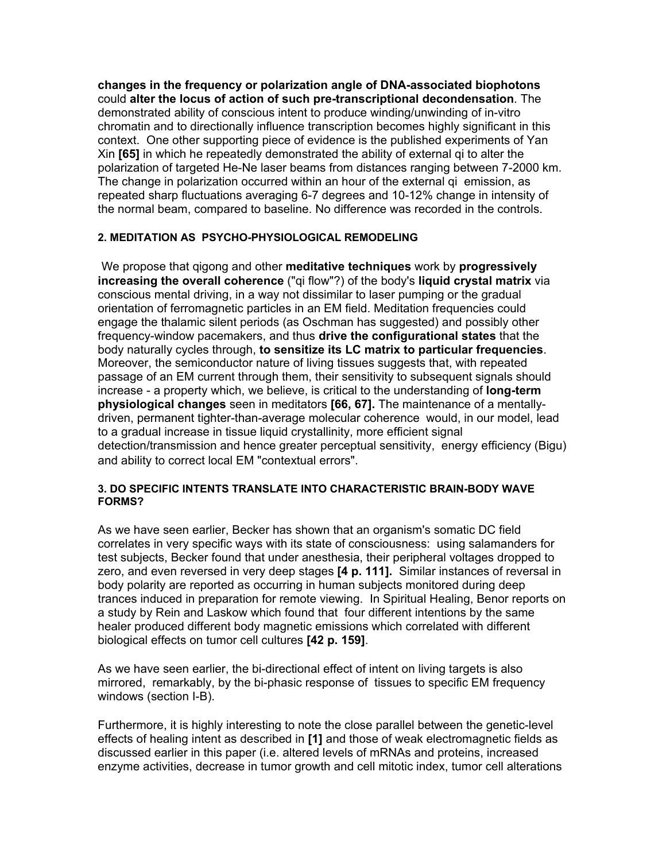**changes in the frequency or polarization angle of DNA-associated biophotons**  could **alter the locus of action of such pre-transcriptional decondensation**. The demonstrated ability of conscious intent to produce winding/unwinding of in-vitro chromatin and to directionally influence transcription becomes highly significant in this context. One other supporting piece of evidence is the published experiments of Yan Xin **[65]** in which he repeatedly demonstrated the ability of external qi to alter the polarization of targeted He-Ne laser beams from distances ranging between 7-2000 km. The change in polarization occurred within an hour of the external qi emission, as repeated sharp fluctuations averaging 6-7 degrees and 10-12% change in intensity of the normal beam, compared to baseline. No difference was recorded in the controls.

### **2. MEDITATION AS PSYCHO-PHYSIOLOGICAL REMODELING**

We propose that qigong and other **meditative techniques** work by **progressively increasing the overall coherence** ("qi flow"?) of the body's **liquid crystal matrix** via conscious mental driving, in a way not dissimilar to laser pumping or the gradual orientation of ferromagnetic particles in an EM field. Meditation frequencies could engage the thalamic silent periods (as Oschman has suggested) and possibly other frequency-window pacemakers, and thus **drive the configurational states** that the body naturally cycles through, **to sensitize its LC matrix to particular frequencies**. Moreover, the semiconductor nature of living tissues suggests that, with repeated passage of an EM current through them, their sensitivity to subsequent signals should increase - a property which, we believe, is critical to the understanding of **long-term physiological changes** seen in meditators **[66, 67].** The maintenance of a mentallydriven, permanent tighter-than-average molecular coherence would, in our model, lead to a gradual increase in tissue liquid crystallinity, more efficient signal detection/transmission and hence greater perceptual sensitivity, energy efficiency (Bigu) and ability to correct local EM "contextual errors".

### **3. DO SPECIFIC INTENTS TRANSLATE INTO CHARACTERISTIC BRAIN-BODY WAVE FORMS?**

As we have seen earlier, Becker has shown that an organism's somatic DC field correlates in very specific ways with its state of consciousness: using salamanders for test subjects, Becker found that under anesthesia, their peripheral voltages dropped to zero, and even reversed in very deep stages **[4 p. 111].** Similar instances of reversal in body polarity are reported as occurring in human subjects monitored during deep trances induced in preparation for remote viewing. In Spiritual Healing, Benor reports on a study by Rein and Laskow which found that four different intentions by the same healer produced different body magnetic emissions which correlated with different biological effects on tumor cell cultures **[42 p. 159]**.

As we have seen earlier, the bi-directional effect of intent on living targets is also mirrored, remarkably, by the bi-phasic response of tissues to specific EM frequency windows (section I-B).

Furthermore, it is highly interesting to note the close parallel between the genetic-level effects of healing intent as described in **[1]** and those of weak electromagnetic fields as discussed earlier in this paper (i.e. altered levels of mRNAs and proteins, increased enzyme activities, decrease in tumor growth and cell mitotic index, tumor cell alterations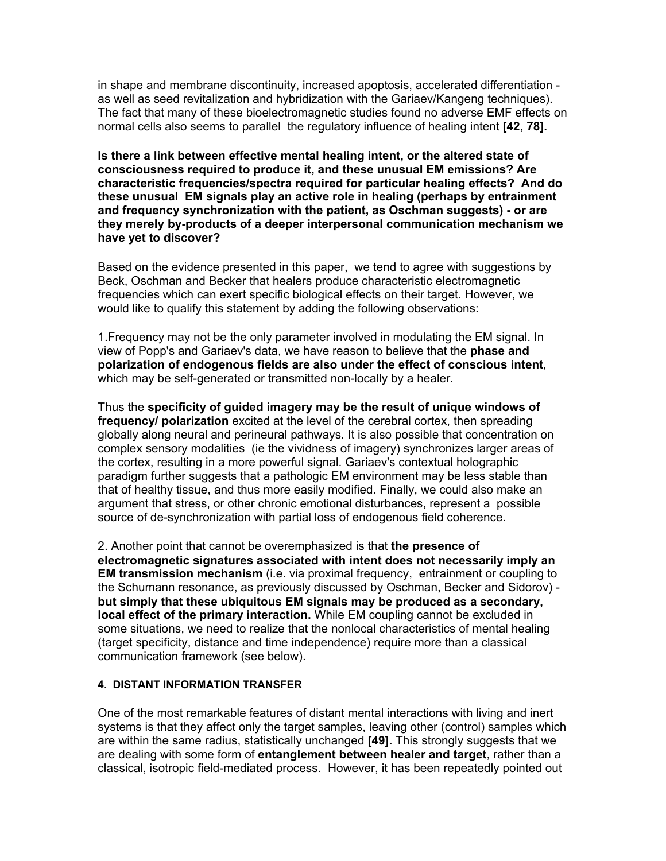in shape and membrane discontinuity, increased apoptosis, accelerated differentiation as well as seed revitalization and hybridization with the Gariaev/Kangeng techniques). The fact that many of these bioelectromagnetic studies found no adverse EMF effects on normal cells also seems to parallel the regulatory influence of healing intent **[42, 78].** 

**Is there a link between effective mental healing intent, or the altered state of consciousness required to produce it, and these unusual EM emissions? Are characteristic frequencies/spectra required for particular healing effects? And do these unusual EM signals play an active role in healing (perhaps by entrainment and frequency synchronization with the patient, as Oschman suggests) - or are they merely by-products of a deeper interpersonal communication mechanism we have yet to discover?** 

Based on the evidence presented in this paper, we tend to agree with suggestions by Beck, Oschman and Becker that healers produce characteristic electromagnetic frequencies which can exert specific biological effects on their target. However, we would like to qualify this statement by adding the following observations:

1.Frequency may not be the only parameter involved in modulating the EM signal. In view of Popp's and Gariaev's data, we have reason to believe that the **phase and polarization of endogenous fields are also under the effect of conscious intent**, which may be self-generated or transmitted non-locally by a healer.

Thus the **specificity of guided imagery may be the result of unique windows of frequency/ polarization** excited at the level of the cerebral cortex, then spreading globally along neural and perineural pathways. It is also possible that concentration on complex sensory modalities (ie the vividness of imagery) synchronizes larger areas of the cortex, resulting in a more powerful signal. Gariaev's contextual holographic paradigm further suggests that a pathologic EM environment may be less stable than that of healthy tissue, and thus more easily modified. Finally, we could also make an argument that stress, or other chronic emotional disturbances, represent a possible source of de-synchronization with partial loss of endogenous field coherence.

2. Another point that cannot be overemphasized is that **the presence of electromagnetic signatures associated with intent does not necessarily imply an EM transmission mechanism** (i.e. via proximal frequency, entrainment or coupling to the Schumann resonance, as previously discussed by Oschman, Becker and Sidorov) **but simply that these ubiquitous EM signals may be produced as a secondary, local effect of the primary interaction.** While EM coupling cannot be excluded in some situations, we need to realize that the nonlocal characteristics of mental healing (target specificity, distance and time independence) require more than a classical communication framework (see below).

### **4. DISTANT INFORMATION TRANSFER**

One of the most remarkable features of distant mental interactions with living and inert systems is that they affect only the target samples, leaving other (control) samples which are within the same radius, statistically unchanged **[49].** This strongly suggests that we are dealing with some form of **entanglement between healer and target**, rather than a classical, isotropic field-mediated process. However, it has been repeatedly pointed out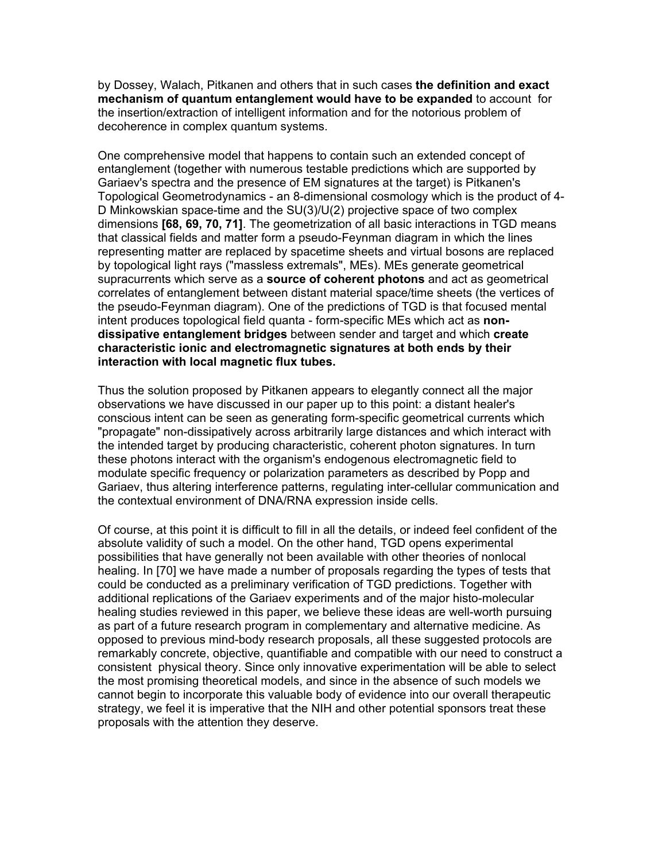by Dossey, Walach, Pitkanen and others that in such cases **the definition and exact mechanism of quantum entanglement would have to be expanded** to account for the insertion/extraction of intelligent information and for the notorious problem of decoherence in complex quantum systems.

One comprehensive model that happens to contain such an extended concept of entanglement (together with numerous testable predictions which are supported by Gariaev's spectra and the presence of EM signatures at the target) is Pitkanen's Topological Geometrodynamics - an 8-dimensional cosmology which is the product of 4- D Minkowskian space-time and the SU(3)/U(2) projective space of two complex dimensions **[68, 69, 70, 71]**. The geometrization of all basic interactions in TGD means that classical fields and matter form a pseudo-Feynman diagram in which the lines representing matter are replaced by spacetime sheets and virtual bosons are replaced by topological light rays ("massless extremals", MEs). MEs generate geometrical supracurrents which serve as a **source of coherent photons** and act as geometrical correlates of entanglement between distant material space/time sheets (the vertices of the pseudo-Feynman diagram). One of the predictions of TGD is that focused mental intent produces topological field quanta - form-specific MEs which act as **nondissipative entanglement bridges** between sender and target and which **create characteristic ionic and electromagnetic signatures at both ends by their interaction with local magnetic flux tubes.** 

Thus the solution proposed by Pitkanen appears to elegantly connect all the major observations we have discussed in our paper up to this point: a distant healer's conscious intent can be seen as generating form-specific geometrical currents which "propagate" non-dissipatively across arbitrarily large distances and which interact with the intended target by producing characteristic, coherent photon signatures. In turn these photons interact with the organism's endogenous electromagnetic field to modulate specific frequency or polarization parameters as described by Popp and Gariaev, thus altering interference patterns, regulating inter-cellular communication and the contextual environment of DNA/RNA expression inside cells.

Of course, at this point it is difficult to fill in all the details, or indeed feel confident of the absolute validity of such a model. On the other hand, TGD opens experimental possibilities that have generally not been available with other theories of nonlocal healing. In [70] we have made a number of proposals regarding the types of tests that could be conducted as a preliminary verification of TGD predictions. Together with additional replications of the Gariaev experiments and of the major histo-molecular healing studies reviewed in this paper, we believe these ideas are well-worth pursuing as part of a future research program in complementary and alternative medicine. As opposed to previous mind-body research proposals, all these suggested protocols are remarkably concrete, objective, quantifiable and compatible with our need to construct a consistent physical theory. Since only innovative experimentation will be able to select the most promising theoretical models, and since in the absence of such models we cannot begin to incorporate this valuable body of evidence into our overall therapeutic strategy, we feel it is imperative that the NIH and other potential sponsors treat these proposals with the attention they deserve.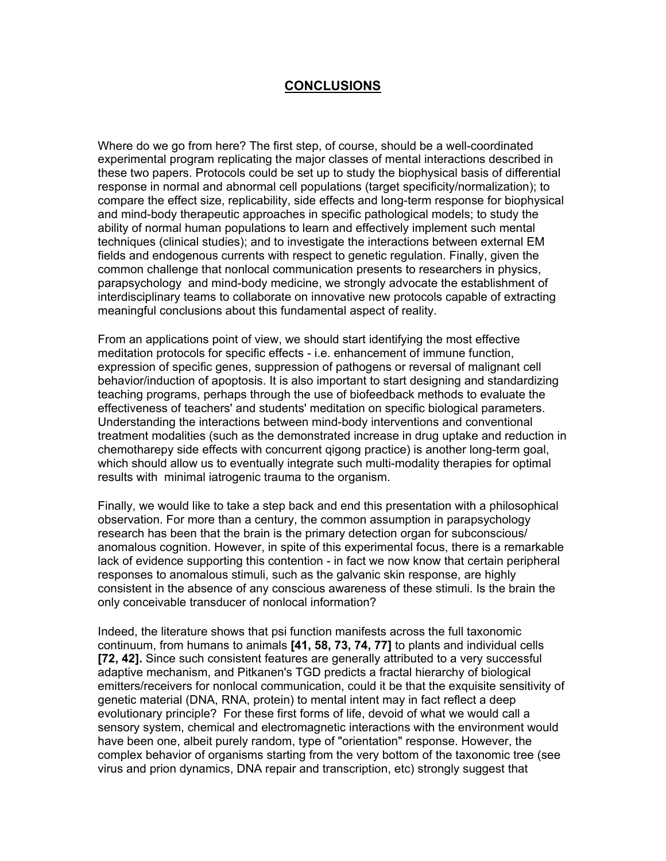# **CONCLUSIONS**

Where do we go from here? The first step, of course, should be a well-coordinated experimental program replicating the major classes of mental interactions described in these two papers. Protocols could be set up to study the biophysical basis of differential response in normal and abnormal cell populations (target specificity/normalization); to compare the effect size, replicability, side effects and long-term response for biophysical and mind-body therapeutic approaches in specific pathological models; to study the ability of normal human populations to learn and effectively implement such mental techniques (clinical studies); and to investigate the interactions between external EM fields and endogenous currents with respect to genetic regulation. Finally, given the common challenge that nonlocal communication presents to researchers in physics, parapsychology and mind-body medicine, we strongly advocate the establishment of interdisciplinary teams to collaborate on innovative new protocols capable of extracting meaningful conclusions about this fundamental aspect of reality.

From an applications point of view, we should start identifying the most effective meditation protocols for specific effects - i.e. enhancement of immune function, expression of specific genes, suppression of pathogens or reversal of malignant cell behavior/induction of apoptosis. It is also important to start designing and standardizing teaching programs, perhaps through the use of biofeedback methods to evaluate the effectiveness of teachers' and students' meditation on specific biological parameters. Understanding the interactions between mind-body interventions and conventional treatment modalities (such as the demonstrated increase in drug uptake and reduction in chemotharepy side effects with concurrent qigong practice) is another long-term goal, which should allow us to eventually integrate such multi-modality therapies for optimal results with minimal iatrogenic trauma to the organism.

Finally, we would like to take a step back and end this presentation with a philosophical observation. For more than a century, the common assumption in parapsychology research has been that the brain is the primary detection organ for subconscious/ anomalous cognition. However, in spite of this experimental focus, there is a remarkable lack of evidence supporting this contention - in fact we now know that certain peripheral responses to anomalous stimuli, such as the galvanic skin response, are highly consistent in the absence of any conscious awareness of these stimuli. Is the brain the only conceivable transducer of nonlocal information?

Indeed, the literature shows that psi function manifests across the full taxonomic continuum, from humans to animals **[41, 58, 73, 74, 77]** to plants and individual cells **[72, 42].** Since such consistent features are generally attributed to a very successful adaptive mechanism, and Pitkanen's TGD predicts a fractal hierarchy of biological emitters/receivers for nonlocal communication, could it be that the exquisite sensitivity of genetic material (DNA, RNA, protein) to mental intent may in fact reflect a deep evolutionary principle? For these first forms of life, devoid of what we would call a sensory system, chemical and electromagnetic interactions with the environment would have been one, albeit purely random, type of "orientation" response. However, the complex behavior of organisms starting from the very bottom of the taxonomic tree (see virus and prion dynamics, DNA repair and transcription, etc) strongly suggest that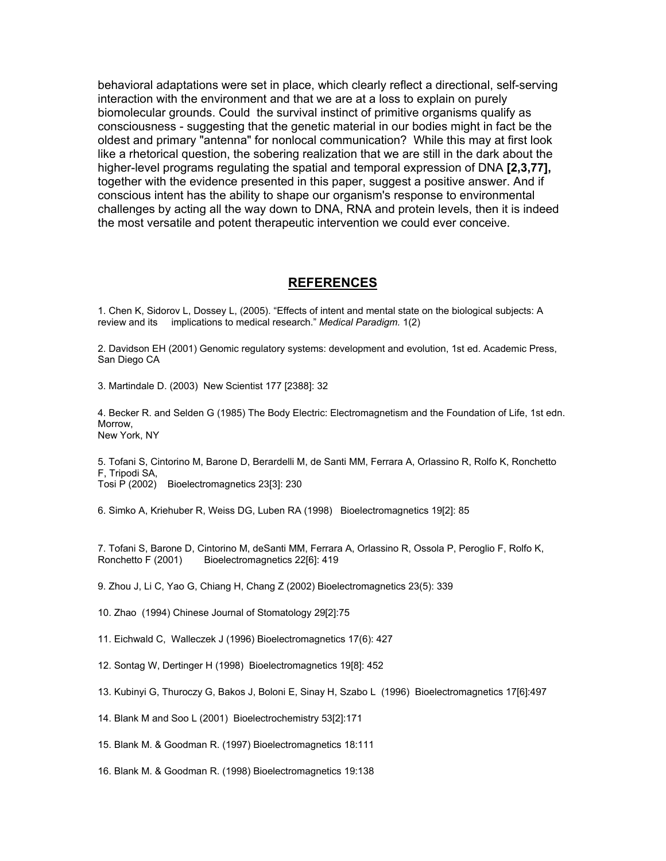behavioral adaptations were set in place, which clearly reflect a directional, self-serving interaction with the environment and that we are at a loss to explain on purely biomolecular grounds. Could the survival instinct of primitive organisms qualify as consciousness - suggesting that the genetic material in our bodies might in fact be the oldest and primary "antenna" for nonlocal communication? While this may at first look like a rhetorical question, the sobering realization that we are still in the dark about the higher-level programs regulating the spatial and temporal expression of DNA **[2,3,77],**  together with the evidence presented in this paper, suggest a positive answer. And if conscious intent has the ability to shape our organism's response to environmental challenges by acting all the way down to DNA, RNA and protein levels, then it is indeed the most versatile and potent therapeutic intervention we could ever conceive.

#### **REFERENCES**

1. Chen K, Sidorov L, Dossey L, (2005). "Effects of intent and mental state on the biological subjects: A review and its implications to medical research." *Medical Paradigm.* 1(2)

2. Davidson EH (2001) Genomic regulatory systems: development and evolution, 1st ed. Academic Press, San Diego CA

3. Martindale D. (2003) New Scientist 177 [2388]: 32

4. Becker R. and Selden G (1985) The Body Electric: Electromagnetism and the Foundation of Life, 1st edn. Morrow, New York, NY

5. Tofani S, Cintorino M, Barone D, Berardelli M, de Santi MM, Ferrara A, Orlassino R, Rolfo K, Ronchetto F, Tripodi SA, Tosi P (2002) Bioelectromagnetics 23[3]: 230

6. Simko A, Kriehuber R, Weiss DG, Luben RA (1998) Bioelectromagnetics 19[2]: 85

7. Tofani S, Barone D, Cintorino M, deSanti MM, Ferrara A, Orlassino R, Ossola P, Peroglio F, Rolfo K, Ronchetto F (2001) Bioelectromagnetics 22[6]: 419

9. Zhou J, Li C, Yao G, Chiang H, Chang Z (2002) Bioelectromagnetics 23(5): 339

10. Zhao (1994) Chinese Journal of Stomatology 29[2]:75

11. Eichwald C, Walleczek J (1996) Bioelectromagnetics 17(6): 427

12. Sontag W, Dertinger H (1998) Bioelectromagnetics 19[8]: 452

13. Kubinyi G, Thuroczy G, Bakos J, Boloni E, Sinay H, Szabo L (1996) Bioelectromagnetics 17[6]:497

14. Blank M and Soo L (2001) Bioelectrochemistry 53[2]:171

15. Blank M. & Goodman R. (1997) Bioelectromagnetics 18:111

16. Blank M. & Goodman R. (1998) Bioelectromagnetics 19:138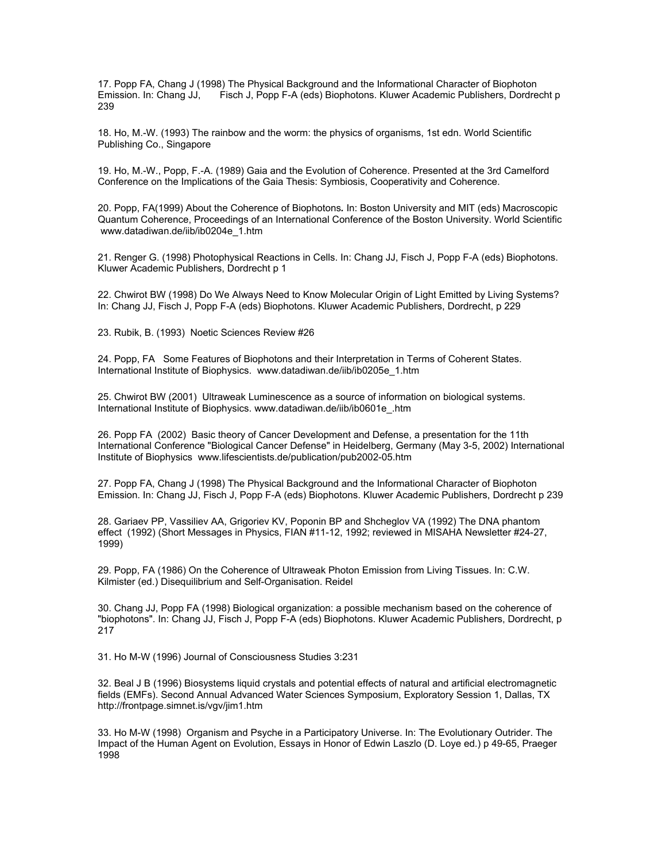17. Popp FA, Chang J (1998) The Physical Background and the Informational Character of Biophoton Emission. In: Chang JJ, Fisch J, Popp F-A (eds) Biophotons. Kluwer Academic Publishers, Dordrecht p 239

18. Ho, M.-W. (1993) The rainbow and the worm: the physics of organisms, 1st edn. World Scientific Publishing Co., Singapore

19. Ho, M.-W., Popp, F.-A. (1989) Gaia and the Evolution of Coherence. Presented at the 3rd Camelford Conference on the Implications of the Gaia Thesis: Symbiosis, Cooperativity and Coherence.

20. Popp, FA(1999) About the Coherence of Biophotons*.* In: Boston University and MIT (eds) Macroscopic Quantum Coherence, Proceedings of an International Conference of the Boston University. World Scientific www.datadiwan.de/iib/ib0204e\_1.htm

21. Renger G. (1998) Photophysical Reactions in Cells. In: Chang JJ, Fisch J, Popp F-A (eds) Biophotons. Kluwer Academic Publishers, Dordrecht p 1

22. Chwirot BW (1998) Do We Always Need to Know Molecular Origin of Light Emitted by Living Systems? In: Chang JJ, Fisch J, Popp F-A (eds) Biophotons. Kluwer Academic Publishers, Dordrecht, p 229

23. Rubik, B. (1993) Noetic Sciences Review #26

24. Popp, FA Some Features of Biophotons and their Interpretation in Terms of Coherent States. International Institute of Biophysics. www.datadiwan.de/iib/ib0205e\_1.htm

25. Chwirot BW (2001) Ultraweak Luminescence as a source of information on biological systems. International Institute of Biophysics. www.datadiwan.de/iib/ib0601e\_.htm

26. Popp FA (2002) Basic theory of Cancer Development and Defense, a presentation for the 11th International Conference "Biological Cancer Defense" in Heidelberg, Germany (May 3-5, 2002) International Institute of Biophysics www.lifescientists.de/publication/pub2002-05.htm

27. Popp FA, Chang J (1998) The Physical Background and the Informational Character of Biophoton Emission. In: Chang JJ, Fisch J, Popp F-A (eds) Biophotons. Kluwer Academic Publishers, Dordrecht p 239

28. Gariaev PP, Vassiliev AA, Grigoriev KV, Poponin BP and Shcheglov VA (1992) The DNA phantom effect (1992) (Short Messages in Physics, FIAN #11-12, 1992; reviewed in MISAHA Newsletter #24-27, 1999)

29. Popp, FA (1986) On the Coherence of Ultraweak Photon Emission from Living Tissues. In: C.W. Kilmister (ed.) Disequilibrium and Self-Organisation. Reidel

30. Chang JJ, Popp FA (1998) Biological organization: a possible mechanism based on the coherence of "biophotons". In: Chang JJ, Fisch J, Popp F-A (eds) Biophotons. Kluwer Academic Publishers, Dordrecht, p 217

31. Ho M-W (1996) Journal of Consciousness Studies 3:231

32. Beal J B (1996) Biosystems liquid crystals and potential effects of natural and artificial electromagnetic fields (EMFs). Second Annual Advanced Water Sciences Symposium, Exploratory Session 1, Dallas, TX http://frontpage.simnet.is/vgv/jim1.htm

33. Ho M-W (1998) Organism and Psyche in a Participatory Universe. In: The Evolutionary Outrider. The Impact of the Human Agent on Evolution, Essays in Honor of Edwin Laszlo (D. Loye ed.) p 49-65, Praeger 1998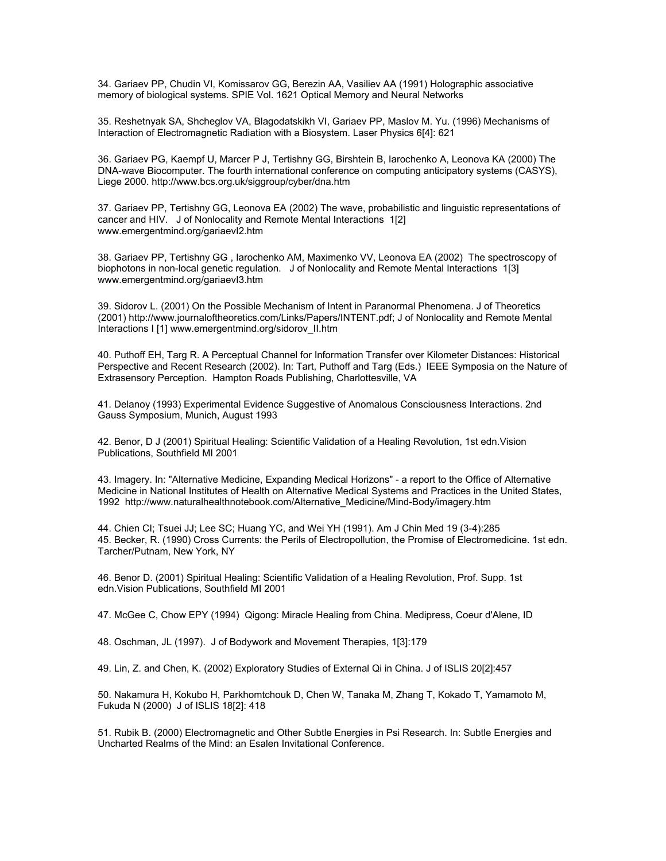34. Gariaev PP, Chudin VI, Komissarov GG, Berezin AA, Vasiliev AA (1991) Holographic associative memory of biological systems. SPIE Vol. 1621 Optical Memory and Neural Networks

35. Reshetnyak SA, Shcheglov VA, Blagodatskikh VI, Gariaev PP, Maslov M. Yu. (1996) Mechanisms of Interaction of Electromagnetic Radiation with a Biosystem. Laser Physics 6[4]: 621

36. Gariaev PG, Kaempf U, Marcer P J, Tertishny GG, Birshtein B, Iarochenko A, Leonova KA (2000) The DNA-wave Biocomputer. The fourth international conference on computing anticipatory systems (CASYS), Liege 2000. http://www.bcs.org.uk/siggroup/cyber/dna.htm

37. Gariaev PP, Tertishny GG, Leonova EA (2002) The wave, probabilistic and linguistic representations of cancer and HIV. J of Nonlocality and Remote Mental Interactions 1[2] www.emergentmind.org/gariaevI2.htm

38. Gariaev PP, Tertishny GG , Iarochenko AM, Maximenko VV, Leonova EA (2002) The spectroscopy of biophotons in non-local genetic regulation. J of Nonlocality and Remote Mental Interactions 1[3] www.emergentmind.org/gariaevI3.htm

39. Sidorov L. (2001) On the Possible Mechanism of Intent in Paranormal Phenomena. J of Theoretics (2001) http://www.journaloftheoretics.com/Links/Papers/INTENT.pdf; J of Nonlocality and Remote Mental Interactions I [1] www.emergentmind.org/sidorov\_II.htm

40. Puthoff EH, Targ R. A Perceptual Channel for Information Transfer over Kilometer Distances: Historical Perspective and Recent Research (2002). In: Tart, Puthoff and Targ (Eds.) IEEE Symposia on the Nature of Extrasensory Perception. Hampton Roads Publishing, Charlottesville, VA

41. Delanoy (1993) Experimental Evidence Suggestive of Anomalous Consciousness Interactions. 2nd Gauss Symposium, Munich, August 1993

42. Benor, D J (2001) Spiritual Healing: Scientific Validation of a Healing Revolution, 1st edn.Vision Publications, Southfield MI 2001

43. Imagery. In: "Alternative Medicine, Expanding Medical Horizons" - a report to the Office of Alternative Medicine in National Institutes of Health on Alternative Medical Systems and Practices in the United States, 1992 http://www.naturalhealthnotebook.com/Alternative\_Medicine/Mind-Body/imagery.htm

44. Chien CI; Tsuei JJ; Lee SC; Huang YC, and Wei YH (1991). Am J Chin Med 19 (3-4):285 45. Becker, R. (1990) Cross Currents: the Perils of Electropollution, the Promise of Electromedicine. 1st edn. Tarcher/Putnam, New York, NY

46. Benor D. (2001) Spiritual Healing: Scientific Validation of a Healing Revolution, Prof. Supp. 1st edn.Vision Publications, Southfield MI 2001

47. McGee C, Chow EPY (1994) Qigong: Miracle Healing from China. Medipress, Coeur d'Alene, ID

48. Oschman, JL (1997). J of Bodywork and Movement Therapies, 1[3]:179

49. Lin, Z. and Chen, K. (2002) Exploratory Studies of External Qi in China. J of ISLIS 20[2]:457

50. Nakamura H, Kokubo H, Parkhomtchouk D, Chen W, Tanaka M, Zhang T, Kokado T, Yamamoto M, Fukuda N (2000) J of ISLIS 18[2]: 418

51. Rubik B. (2000) Electromagnetic and Other Subtle Energies in Psi Research. In: Subtle Energies and Uncharted Realms of the Mind: an Esalen Invitational Conference.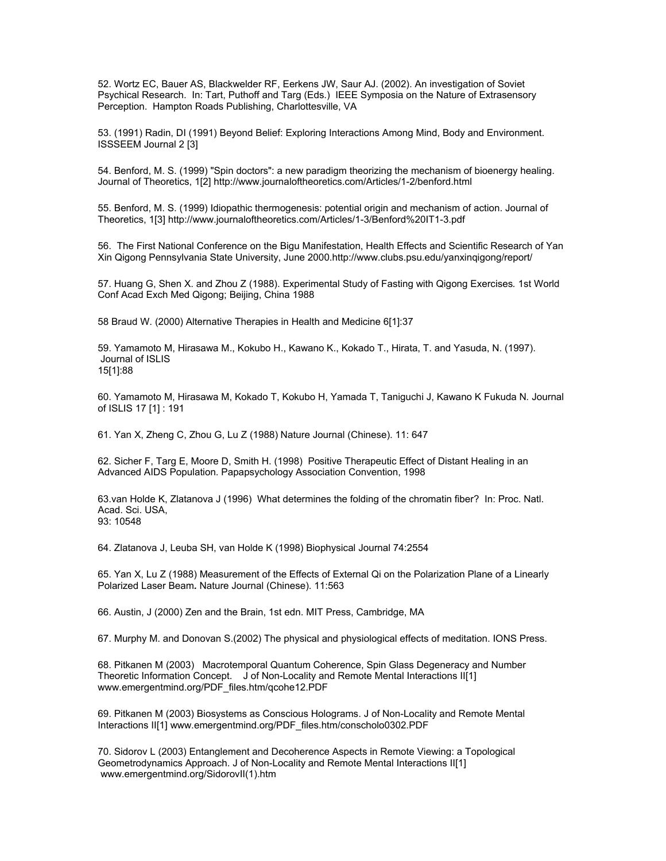52. Wortz EC, Bauer AS, Blackwelder RF, Eerkens JW, Saur AJ. (2002). An investigation of Soviet Psychical Research. In: Tart, Puthoff and Targ (Eds.) IEEE Symposia on the Nature of Extrasensory Perception. Hampton Roads Publishing, Charlottesville, VA

53. (1991) Radin, DI (1991) Beyond Belief: Exploring Interactions Among Mind, Body and Environment. ISSSEEM Journal 2 [3]

54. Benford, M. S. (1999) "Spin doctors": a new paradigm theorizing the mechanism of bioenergy healing. Journal of Theoretics, 1[2] http://www.journaloftheoretics.com/Articles/1-2/benford.html

55. Benford, M. S. (1999) Idiopathic thermogenesis: potential origin and mechanism of action. Journal of Theoretics, 1[3] http://www.journaloftheoretics.com/Articles/1-3/Benford%20IT1-3.pdf

56. The First National Conference on the Bigu Manifestation, Health Effects and Scientific Research of Yan Xin Qigong Pennsylvania State University, June 2000.http://www.clubs.psu.edu/yanxinqigong/report/

57. Huang G, Shen X. and Zhou Z (1988). Experimental Study of Fasting with Qigong Exercises*.* 1st World Conf Acad Exch Med Qigong; Beijing, China 1988

58 Braud W. (2000) Alternative Therapies in Health and Medicine 6[1]:37

59. Yamamoto M, Hirasawa M., Kokubo H., Kawano K., Kokado T., Hirata, T. and Yasuda, N. (1997). Journal of ISLIS 15[1]:88

60. Yamamoto M, Hirasawa M, Kokado T, Kokubo H, Yamada T, Taniguchi J, Kawano K Fukuda N*.* Journal of ISLIS 17 [1] : 191

61. Yan X, Zheng C, Zhou G, Lu Z (1988) Nature Journal (Chinese). 11: 647

62. Sicher F, Targ E, Moore D, Smith H. (1998) Positive Therapeutic Effect of Distant Healing in an Advanced AIDS Population. Papapsychology Association Convention, 1998

63.van Holde K, Zlatanova J (1996) What determines the folding of the chromatin fiber? In: Proc. Natl. Acad. Sci. USA, 93: 10548

64. Zlatanova J, Leuba SH, van Holde K (1998) Biophysical Journal 74:2554

65. Yan X, Lu Z (1988) Measurement of the Effects of External Qi on the Polarization Plane of a Linearly Polarized Laser Beam*.* Nature Journal (Chinese). 11:563

66. Austin, J (2000) Zen and the Brain, 1st edn. MIT Press, Cambridge, MA

67. Murphy M. and Donovan S.(2002) The physical and physiological effects of meditation. IONS Press.

68. Pitkanen M (2003) Macrotemporal Quantum Coherence, Spin Glass Degeneracy and Number Theoretic Information Concept. J of Non-Locality and Remote Mental Interactions II[1] www.emergentmind.org/PDF\_files.htm/qcohe12.PDF

69. Pitkanen M (2003) Biosystems as Conscious Holograms. J of Non-Locality and Remote Mental Interactions II[1] www.emergentmind.org/PDF\_files.htm/conscholo0302.PDF

70. Sidorov L (2003) Entanglement and Decoherence Aspects in Remote Viewing: a Topological Geometrodynamics Approach. J of Non-Locality and Remote Mental Interactions II[1] www.emergentmind.org/SidorovII(1).htm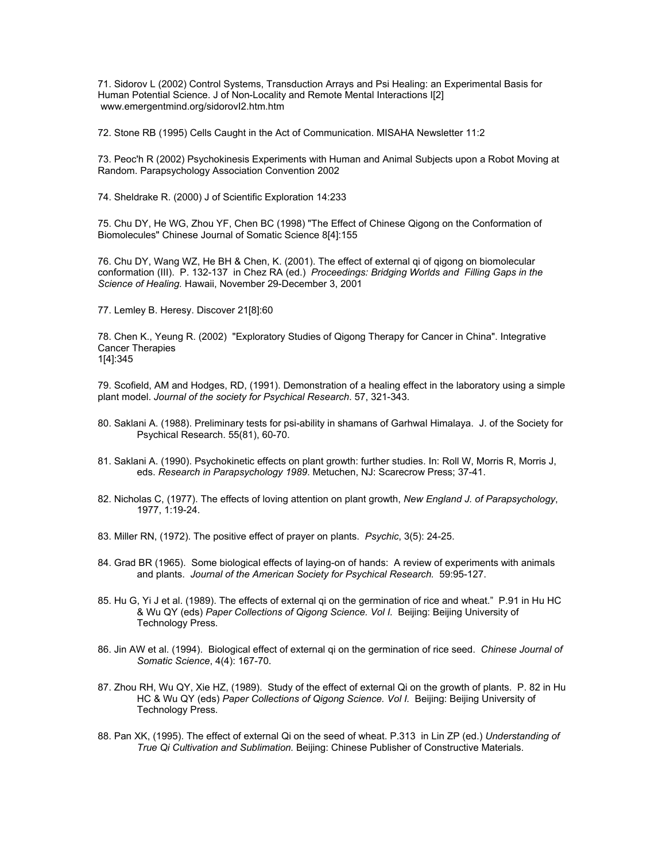71. Sidorov L (2002) Control Systems, Transduction Arrays and Psi Healing: an Experimental Basis for Human Potential Science. J of Non-Locality and Remote Mental Interactions I[2] www.emergentmind.org/sidorovI2.htm.htm

72. Stone RB (1995) Cells Caught in the Act of Communication. MISAHA Newsletter 11:2

73. Peoc'h R (2002) Psychokinesis Experiments with Human and Animal Subjects upon a Robot Moving at Random. Parapsychology Association Convention 2002

74. Sheldrake R. (2000) J of Scientific Exploration 14:233

75. Chu DY, He WG, Zhou YF, Chen BC (1998) "The Effect of Chinese Qigong on the Conformation of Biomolecules" Chinese Journal of Somatic Science 8[4]:155

76. Chu DY, Wang WZ, He BH & Chen, K. (2001). The effect of external qi of qigong on biomolecular conformation (III). P. 132-137 in Chez RA (ed.) *Proceedings: Bridging Worlds and Filling Gaps in the Science of Healing.* Hawaii, November 29-December 3, 2001

77. Lemley B. Heresy. Discover 21[8]:60

78. Chen K., Yeung R. (2002) "Exploratory Studies of Qigong Therapy for Cancer in China". Integrative Cancer Therapies 1[4]:345

79. Scofield, AM and Hodges, RD, (1991). Demonstration of a healing effect in the laboratory using a simple plant model. *Journal of the society for Psychical Research*. 57, 321-343.

- 80. Saklani A. (1988). Preliminary tests for psi-ability in shamans of Garhwal Himalaya. J. of the Society for Psychical Research. 55(81), 60-70.
- 81. Saklani A. (1990). Psychokinetic effects on plant growth: further studies. In: Roll W, Morris R, Morris J, eds. *Research in Parapsychology 1989*. Metuchen, NJ: Scarecrow Press; 37-41.
- 82. Nicholas C, (1977). The effects of loving attention on plant growth, *New England J. of Parapsychology*, 1977, 1:19-24.
- 83. Miller RN, (1972). The positive effect of prayer on plants. *Psychic*, 3(5): 24-25.
- 84. Grad BR (1965). Some biological effects of laying-on of hands: A review of experiments with animals and plants. *Journal of the American Society for Psychical Research.* 59:95-127.
- 85. Hu G, Yi J et al. (1989). The effects of external qi on the germination of rice and wheat." P.91 in Hu HC & Wu QY (eds) *Paper Collections of Qigong Science. Vol I.* Beijing: Beijing University of Technology Press.
- 86. Jin AW et al. (1994). Biological effect of external qi on the germination of rice seed. *Chinese Journal of Somatic Science*, 4(4): 167-70.
- 87. Zhou RH, Wu QY, Xie HZ, (1989). Study of the effect of external Qi on the growth of plants. P. 82 in Hu HC & Wu QY (eds) Paper Collections of Qigong Science. Vol I. Beijing: Beijing University of Technology Press.
- 88. Pan XK, (1995). The effect of external Qi on the seed of wheat. P.313 in Lin ZP (ed.) *Understanding of True Qi Cultivation and Sublimation.* Beijing: Chinese Publisher of Constructive Materials.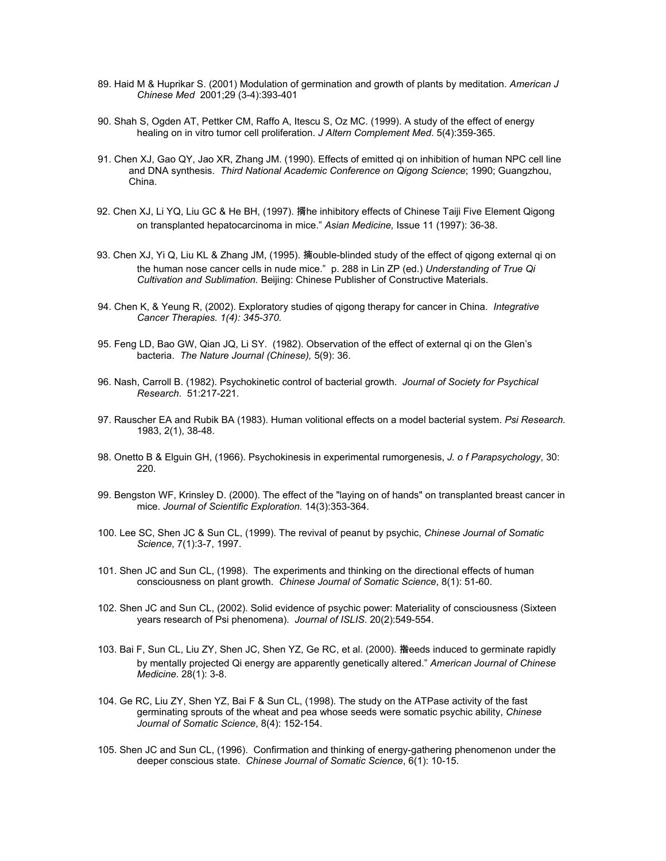- 89. Haid M & Huprikar S. (2001) Modulation of germination and growth of plants by meditation. *American J Chinese Med* 2001;29 (3-4):393-401
- 90. Shah S, Ogden AT, Pettker CM, Raffo A, Itescu S, Oz MC. (1999). A study of the effect of energy healing on in vitro tumor cell proliferation. *J Altern Complement Med*. 5(4):359-365.
- 91. Chen XJ, Gao QY, Jao XR, Zhang JM. (1990). Effects of emitted qi on inhibition of human NPC cell line and DNA synthesis. *Third National Academic Conference on Qigong Science*; 1990; Guangzhou, China.
- 92. Chen XJ, Li YQ, Liu GC & He BH, (1997). 揟he inhibitory effects of Chinese Taiji Five Element Qigong on transplanted hepatocarcinoma in mice." *Asian Medicine,* Issue 11 (1997): 36-38.
- 93. Chen XJ, Yi Q, Liu KL & Zhang JM, (1995). 揇ouble-blinded study of the effect of qigong external qi on the human nose cancer cells in nude mice." p. 288 in Lin ZP (ed.) *Understanding of True Qi Cultivation and Sublimation.* Beijing: Chinese Publisher of Constructive Materials.
- 94. Chen K, & Yeung R, (2002). Exploratory studies of qigong therapy for cancer in China. *Integrative Cancer Therapies. 1(4): 345-370.*
- 95. Feng LD, Bao GW, Qian JQ, Li SY. (1982). Observation of the effect of external qi on the Glen's bacteria. *The Nature Journal (Chinese),* 5(9): 36.
- 96. Nash, Carroll B. (1982). Psychokinetic control of bacterial growth. *Journal of Society for Psychical Research*. 51:217-221.
- 97. Rauscher EA and Rubik BA (1983). Human volitional effects on a model bacterial system. *Psi Research.* 1983, 2(1), 38-48.
- 98. Onetto B & Elguin GH, (1966). Psychokinesis in experimental rumorgenesis, *J. o f Parapsychology*, 30: 220.
- 99. Bengston WF, Krinsley D. (2000). The effect of the "laying on of hands" on transplanted breast cancer in mice. *Journal of Scientific Exploration.* 14(3):353-364.
- 100. Lee SC, Shen JC & Sun CL, (1999). The revival of peanut by psychic, *Chinese Journal of Somatic Science*, 7(1):3-7, 1997.
- 101. Shen JC and Sun CL, (1998). The experiments and thinking on the directional effects of human consciousness on plant growth. *Chinese Journal of Somatic Science*, 8(1): 51-60.
- 102. Shen JC and Sun CL, (2002). Solid evidence of psychic power: Materiality of consciousness (Sixteen years research of Psi phenomena). *Journal of ISLIS*. 20(2):549-554.
- 103. Bai F, Sun CL, Liu ZY, Shen JC, Shen YZ, Ge RC, et al. (2000). 揝eeds induced to germinate rapidly by mentally projected Qi energy are apparently genetically altered." *American Journal of Chinese Medicine*. 28(1): 3-8.
- 104. Ge RC, Liu ZY, Shen YZ, Bai F & Sun CL, (1998). The study on the ATPase activity of the fast germinating sprouts of the wheat and pea whose seeds were somatic psychic ability, *Chinese Journal of Somatic Science*, 8(4): 152-154.
- 105. Shen JC and Sun CL, (1996). Confirmation and thinking of energy-gathering phenomenon under the deeper conscious state. *Chinese Journal of Somatic Science*, 6(1): 10-15.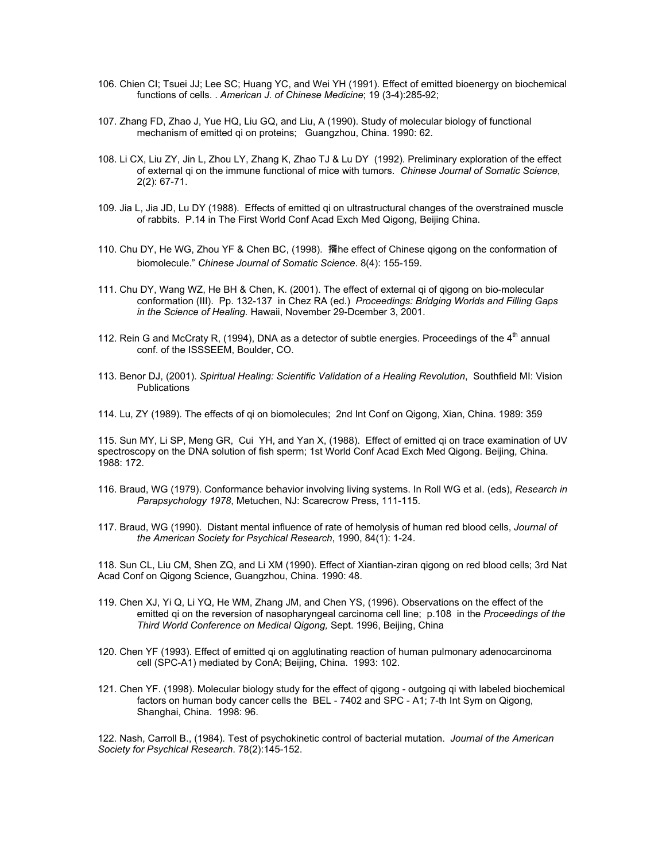- 106. Chien CI; Tsuei JJ; Lee SC; Huang YC, and Wei YH (1991). Effect of emitted bioenergy on biochemical functions of cells. . *American J. of Chinese Medicine*; 19 (3-4):285-92;
- 107. Zhang FD, Zhao J, Yue HQ, Liu GQ, and Liu, A (1990). Study of molecular biology of functional mechanism of emitted qi on proteins; Guangzhou, China. 1990: 62.
- 108. Li CX, Liu ZY, Jin L, Zhou LY, Zhang K, Zhao TJ & Lu DY (1992). Preliminary exploration of the effect of external qi on the immune functional of mice with tumors. *Chinese Journal of Somatic Science*, 2(2): 67-71.
- 109. Jia L, Jia JD, Lu DY (1988). Effects of emitted qi on ultrastructural changes of the overstrained muscle of rabbits. P.14 in The First World Conf Acad Exch Med Qigong, Beijing China.
- 110. Chu DY, He WG, Zhou YF & Chen BC, (1998). 揟he effect of Chinese qigong on the conformation of biomolecule." *Chinese Journal of Somatic Science*. 8(4): 155-159.
- 111. Chu DY, Wang WZ, He BH & Chen, K. (2001). The effect of external qi of qigong on bio-molecular conformation (III). Pp. 132-137 in Chez RA (ed.) *Proceedings: Bridging Worlds and Filling Gaps in the Science of Healing.* Hawaii, November 29-Dcember 3, 2001.
- 112. Rein G and McCraty R, (1994), DNA as a detector of subtle energies. Proceedings of the  $4<sup>th</sup>$  annual conf. of the ISSSEEM, Boulder, CO.
- 113. Benor DJ, (2001). *Spiritual Healing: Scientific Validation of a Healing Revolution*, Southfield MI: Vision **Publications**

114. Lu, ZY (1989). The effects of qi on biomolecules; 2nd Int Conf on Qigong, Xian, China. 1989: 359

115. Sun MY, Li SP, Meng GR, Cui YH, and Yan X, (1988). Effect of emitted qi on trace examination of UV spectroscopy on the DNA solution of fish sperm; 1st World Conf Acad Exch Med Qigong. Beijing, China. 1988: 172.

- 116. Braud, WG (1979). Conformance behavior involving living systems. In Roll WG et al. (eds), *Research in Parapsychology 1978*, Metuchen, NJ: Scarecrow Press, 111-115.
- 117. Braud, WG (1990). Distant mental influence of rate of hemolysis of human red blood cells, *Journal of the American Society for Psychical Research*, 1990, 84(1): 1-24.

118. Sun CL, Liu CM, Shen ZQ, and Li XM (1990). Effect of Xiantian-ziran qigong on red blood cells; 3rd Nat Acad Conf on Qigong Science, Guangzhou, China. 1990: 48.

- 119. Chen XJ, Yi Q, Li YQ, He WM, Zhang JM, and Chen YS, (1996). Observations on the effect of the emitted qi on the reversion of nasopharyngeal carcinoma cell line; p.108 in the *Proceedings of the Third World Conference on Medical Qigong,* Sept. 1996, Beijing, China
- 120. Chen YF (1993). Effect of emitted qi on agglutinating reaction of human pulmonary adenocarcinoma cell (SPC-A1) mediated by ConA; Beijing, China. 1993: 102.
- 121. Chen YF. (1998). Molecular biology study for the effect of qigong outgoing qi with labeled biochemical factors on human body cancer cells the BEL - 7402 and SPC - A1; 7-th Int Sym on Qigong, Shanghai, China. 1998: 96.

122. Nash, Carroll B., (1984). Test of psychokinetic control of bacterial mutation. *Journal of the American Society for Psychical Research*. 78(2):145-152.